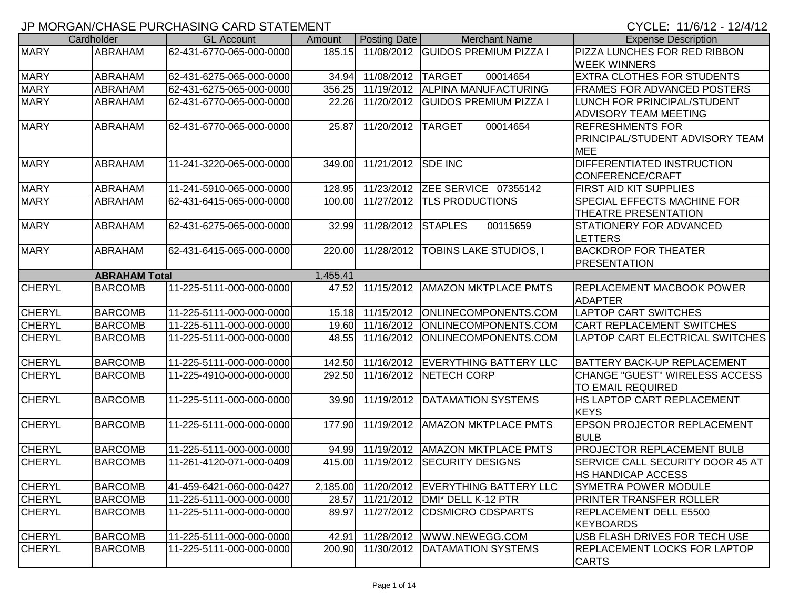## JP MORGAN/CHASE PURCHASING CARD STATEMENT

CYCLE: 11/6/12 - 12/4/12

|               | Cardholder                             | <b>GL Account</b>        | Amount            | Posting Date      | <b>Merchant Name</b>               | <b>Expense Description</b>                         |
|---------------|----------------------------------------|--------------------------|-------------------|-------------------|------------------------------------|----------------------------------------------------|
| <b>MARY</b>   | <b>ABRAHAM</b>                         | 62-431-6770-065-000-0000 | 185.15            |                   | 11/08/2012 GUIDOS PREMIUM PIZZA I  | PIZZA LUNCHES FOR RED RIBBON                       |
|               |                                        |                          |                   |                   |                                    | <b>WEEK WINNERS</b>                                |
| <b>MARY</b>   | ABRAHAM                                | 62-431-6275-065-000-0000 | 34.94             | 11/08/2012        | 00014654<br><b>TARGET</b>          | EXTRA CLOTHES FOR STUDENTS                         |
| <b>MARY</b>   | ABRAHAM                                | 62-431-6275-065-000-0000 | 356.25            | 11/19/2012        | <b>ALPINA MANUFACTURING</b>        | FRAMES FOR ADVANCED POSTERS                        |
| <b>MARY</b>   | ABRAHAM                                | 62-431-6770-065-000-0000 | 22.26             |                   | 11/20/2012 GUIDOS PREMIUM PIZZA I  | LUNCH FOR PRINCIPAL/STUDENT                        |
|               |                                        |                          |                   |                   |                                    | ADVISORY TEAM MEETING                              |
| <b>MARY</b>   | ABRAHAM                                | 62-431-6770-065-000-0000 | 25.87             | 11/20/2012 TARGET | 00014654                           | <b>REFRESHMENTS FOR</b>                            |
|               |                                        |                          |                   |                   |                                    | PRINCIPAL/STUDENT ADVISORY TEAM                    |
|               |                                        |                          |                   |                   |                                    | <b>MEE</b>                                         |
| <b>MARY</b>   | <b>ABRAHAM</b>                         | 11-241-3220-065-000-0000 | 349.00            | 11/21/2012        | <b>SDE INC</b>                     | DIFFERENTIATED INSTRUCTION                         |
|               |                                        |                          |                   |                   |                                    | CONFERENCE/CRAFT                                   |
| <b>MARY</b>   | ABRAHAM                                | 11-241-5910-065-000-0000 | 128.95            |                   | 11/23/2012 ZEE SERVICE 07355142    | FIRST AID KIT SUPPLIES                             |
| <b>MARY</b>   | ABRAHAM                                | 62-431-6415-065-000-0000 | 100.00            |                   | 11/27/2012  TLS PRODUCTIONS        | SPECIAL EFFECTS MACHINE FOR                        |
|               |                                        |                          |                   |                   |                                    | <b>THEATRE PRESENTATION</b>                        |
| <b>MARY</b>   | ABRAHAM                                | 62-431-6275-065-000-0000 | 32.99             | 11/28/2012        | <b>STAPLES</b><br>00115659         | STATIONERY FOR ADVANCED                            |
|               |                                        |                          |                   |                   |                                    | <b>LETTERS</b>                                     |
| <b>MARY</b>   | <b>ABRAHAM</b>                         | 62-431-6415-065-000-0000 | 220.00            | 11/28/2012        | <b>TOBINS LAKE STUDIOS, I</b>      | <b>BACKDROP FOR THEATER</b>                        |
|               |                                        |                          |                   |                   |                                    | <b>PRESENTATION</b>                                |
| <b>CHERYL</b> | <b>ABRAHAM Total</b><br><b>BARCOMB</b> | 11-225-5111-000-000-0000 | 1,455.41<br>47.52 | 11/15/2012        | <b>AMAZON MKTPLACE PMTS</b>        |                                                    |
|               |                                        |                          |                   |                   |                                    | <b>REPLACEMENT MACBOOK POWER</b><br><b>ADAPTER</b> |
| <b>CHERYL</b> | <b>BARCOMB</b>                         | 11-225-5111-000-000-0000 | 15.18             | 11/15/2012        | ONLINECOMPONENTS.COM               | <b>LAPTOP CART SWITCHES</b>                        |
| <b>CHERYL</b> | <b>BARCOMB</b>                         | 11-225-5111-000-000-0000 | 19.60             | 11/16/2012        | ONLINECOMPONENTS.COM               | <b>CART REPLACEMENT SWITCHES</b>                   |
| <b>CHERYL</b> | <b>BARCOMB</b>                         | 11-225-5111-000-000-0000 | 48.55             | 11/16/2012        | ONLINECOMPONENTS.COM               | LAPTOP CART ELECTRICAL SWITCHES                    |
|               |                                        |                          |                   |                   |                                    |                                                    |
| <b>CHERYL</b> | <b>BARCOMB</b>                         | 11-225-5111-000-000-0000 | 142.50            |                   | 11/16/2012 EVERYTHING BATTERY LLC  | <b>BATTERY BACK-UP REPLACEMENT</b>                 |
| <b>CHERYL</b> | <b>BARCOMB</b>                         | 11-225-4910-000-000-0000 | 292.50            | 11/16/2012        | NETECH CORP                        | <b>CHANGE "GUEST" WIRELESS ACCESS</b>              |
|               |                                        |                          |                   |                   |                                    | TO EMAIL REQUIRED                                  |
| <b>CHERYL</b> | <b>BARCOMB</b>                         | 11-225-5111-000-000-0000 | 39.90             | 11/19/2012        | <b>DATAMATION SYSTEMS</b>          | HS LAPTOP CART REPLACEMENT                         |
|               |                                        |                          |                   |                   |                                    | <b>KEYS</b>                                        |
| <b>CHERYL</b> | <b>BARCOMB</b>                         | 11-225-5111-000-000-0000 | 177.90            | 11/19/2012        | <b>AMAZON MKTPLACE PMTS</b>        | <b>EPSON PROJECTOR REPLACEMENT</b>                 |
|               |                                        |                          |                   |                   |                                    | <b>BULB</b>                                        |
| <b>CHERYL</b> | <b>BARCOMB</b>                         | 11-225-5111-000-000-0000 | 94.99             | 11/19/2012        | <b>AMAZON MKTPLACE PMTS</b>        | <b>PROJECTOR REPLACEMENT BULB</b>                  |
| <b>CHERYL</b> | <b>BARCOMB</b>                         | 11-261-4120-071-000-0409 | 415.00            | 11/19/2012        | <b>ISECURITY DESIGNS</b>           | SERVICE CALL SECURITY DOOR 45 AT                   |
|               |                                        |                          |                   |                   |                                    | <b>HS HANDICAP ACCESS</b>                          |
| <b>CHERYL</b> | <b>BARCOMB</b>                         | 41-459-6421-060-000-0427 | 2,185.00          |                   | 11/20/2012  EVERYTHING BATTERY LLC | <b>SYMETRA POWER MODULE</b>                        |
| <b>CHERYL</b> | <b>BARCOMB</b>                         | 11-225-5111-000-000-0000 | 28.57             |                   | 11/21/2012 DMI* DELL K-12 PTR      | PRINTER TRANSFER ROLLER                            |
| <b>CHERYL</b> | <b>BARCOMB</b>                         | 11-225-5111-000-000-0000 | 89.97             |                   | 11/27/2012 CDSMICRO CDSPARTS       | <b>REPLACEMENT DELL E5500</b>                      |
|               |                                        |                          |                   |                   |                                    | <b>KEYBOARDS</b>                                   |
| <b>CHERYL</b> | <b>BARCOMB</b>                         | 11-225-5111-000-000-0000 | 42.91             |                   | 11/28/2012   WWW.NEWEGG.COM        | USB FLASH DRIVES FOR TECH USE                      |
| <b>CHERYL</b> | <b>BARCOMB</b>                         | 11-225-5111-000-000-0000 | 200.90            |                   | 11/30/2012   DATAMATION SYSTEMS    | <b>REPLACEMENT LOCKS FOR LAPTOP</b>                |
|               |                                        |                          |                   |                   |                                    | <b>CARTS</b>                                       |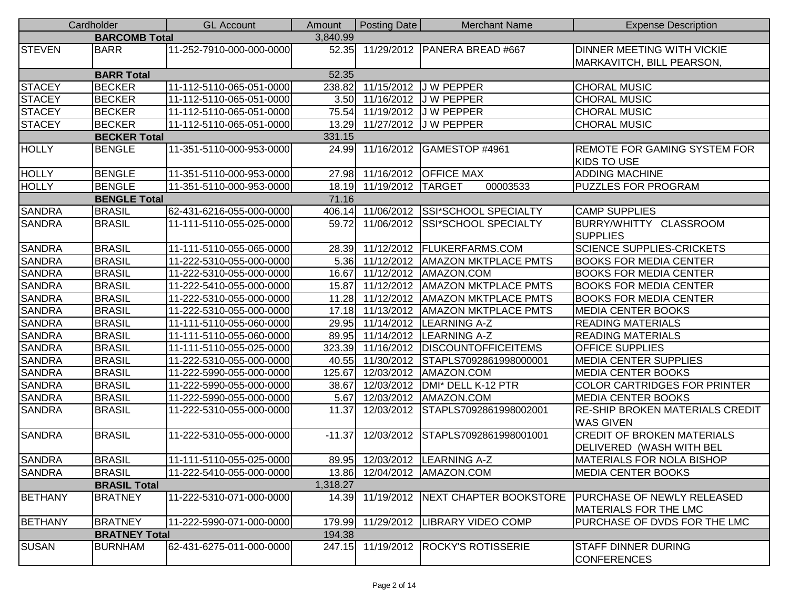|                | Cardholder           | <b>GL Account</b>        | Amount   | Posting Date            | <b>Merchant Name</b>                   | <b>Expense Description</b>                                     |
|----------------|----------------------|--------------------------|----------|-------------------------|----------------------------------------|----------------------------------------------------------------|
|                | <b>BARCOMB Total</b> |                          | 3,840.99 |                         |                                        |                                                                |
| <b>STEVEN</b>  | <b>BARR</b>          | 11-252-7910-000-000-0000 | 52.35    |                         | 11/29/2012   PANERA BREAD #667         | <b>DINNER MEETING WITH VICKIE</b><br>MARKAVITCH, BILL PEARSON, |
|                | <b>BARR Total</b>    |                          | 52.35    |                         |                                        |                                                                |
| <b>STACEY</b>  | <b>BECKER</b>        | 11-112-5110-065-051-0000 | 238.82   |                         | 11/15/2012 J W PEPPER                  | <b>CHORAL MUSIC</b>                                            |
| <b>STACEY</b>  | <b>BECKER</b>        | 11-112-5110-065-051-0000 | 3.50     |                         | 11/16/2012 J W PEPPER                  | <b>CHORAL MUSIC</b>                                            |
| <b>STACEY</b>  | <b>BECKER</b>        | 11-112-5110-065-051-0000 | 75.54    |                         | 11/19/2012 J W PEPPER                  | <b>CHORAL MUSIC</b>                                            |
| <b>STACEY</b>  | <b>BECKER</b>        | 11-112-5110-065-051-0000 | 13.29    |                         | 11/27/2012 J W PEPPER                  | <b>CHORAL MUSIC</b>                                            |
|                | <b>BECKER Total</b>  |                          | 331.15   |                         |                                        |                                                                |
| <b>HOLLY</b>   | <b>BENGLE</b>        | 11-351-5110-000-953-0000 | 24.99    |                         | 11/16/2012 GAMESTOP #4961              | <b>REMOTE FOR GAMING SYSTEM FOR</b><br><b>KIDS TO USE</b>      |
| <b>HOLLY</b>   | <b>BENGLE</b>        | 11-351-5110-000-953-0000 |          |                         | 27.98 11/16/2012 OFFICE MAX            | <b>ADDING MACHINE</b>                                          |
| <b>HOLLY</b>   | <b>BENGLE</b>        | 11-351-5110-000-953-0000 |          | 18.19 11/19/2012 TARGET | 00003533                               | <b>PUZZLES FOR PROGRAM</b>                                     |
|                | <b>BENGLE Total</b>  |                          | 71.16    |                         |                                        |                                                                |
| <b>SANDRA</b>  | <b>BRASIL</b>        | 62-431-6216-055-000-0000 |          |                         | 406.14 11/06/2012 SSI*SCHOOL SPECIALTY | <b>CAMP SUPPLIES</b>                                           |
| <b>SANDRA</b>  | <b>BRASIL</b>        | 11-111-5110-055-025-0000 | 59.72    |                         | 11/06/2012 SSI*SCHOOL SPECIALTY        | BURRY/WHITTY CLASSROOM<br><b>SUPPLIES</b>                      |
| <b>SANDRA</b>  | <b>BRASIL</b>        | 11-111-5110-055-065-0000 | 28.39    |                         | 11/12/2012   FLUKERFARMS.COM           | <b>SCIENCE SUPPLIES-CRICKETS</b>                               |
| <b>SANDRA</b>  | <b>BRASIL</b>        | 11-222-5310-055-000-0000 | 5.36     |                         | 11/12/2012 AMAZON MKTPLACE PMTS        | <b>BOOKS FOR MEDIA CENTER</b>                                  |
| <b>SANDRA</b>  | <b>BRASIL</b>        | 11-222-5310-055-000-0000 | 16.67    |                         | 11/12/2012 AMAZON.COM                  | <b>BOOKS FOR MEDIA CENTER</b>                                  |
| <b>SANDRA</b>  | <b>BRASIL</b>        | 11-222-5410-055-000-0000 | 15.87    |                         | 11/12/2012 AMAZON MKTPLACE PMTS        | <b>BOOKS FOR MEDIA CENTER</b>                                  |
| <b>SANDRA</b>  | <b>BRASIL</b>        | 11-222-5310-055-000-0000 | 11.28    |                         | 11/12/2012 AMAZON MKTPLACE PMTS        | <b>BOOKS FOR MEDIA CENTER</b>                                  |
| <b>SANDRA</b>  | <b>BRASIL</b>        | 11-222-5310-055-000-0000 | 17.18    |                         | 11/13/2012   AMAZON MKTPLACE PMTS      | <b>MEDIA CENTER BOOKS</b>                                      |
| <b>SANDRA</b>  | <b>BRASIL</b>        | 11-111-5110-055-060-0000 | 29.95    |                         | 11/14/2012   LEARNING A-Z              | <b>READING MATERIALS</b>                                       |
| <b>SANDRA</b>  | <b>BRASIL</b>        | 11-111-5110-055-060-0000 |          |                         | 89.95 11/14/2012 LEARNING A-Z          | <b>READING MATERIALS</b>                                       |
| <b>SANDRA</b>  | <b>BRASIL</b>        | 11-111-5110-055-025-0000 | 323.39   |                         | 11/16/2012   DISCOUNTOFFICEITEMS       | <b>OFFICE SUPPLIES</b>                                         |
| <b>SANDRA</b>  | <b>BRASIL</b>        | 11-222-5310-055-000-0000 | 40.55    |                         | 11/30/2012 STAPLS7092861998000001      | <b>MEDIA CENTER SUPPLIES</b>                                   |
| <b>SANDRA</b>  | <b>BRASIL</b>        | 11-222-5990-055-000-0000 | 125.67   |                         | 12/03/2012   AMAZON.COM                | <b>MEDIA CENTER BOOKS</b>                                      |
| <b>SANDRA</b>  | <b>BRASIL</b>        | 11-222-5990-055-000-0000 | 38.67    |                         | 12/03/2012   DMI* DELL K-12 PTR        | <b>COLOR CARTRIDGES FOR PRINTER</b>                            |
| <b>SANDRA</b>  | <b>BRASIL</b>        | 11-222-5990-055-000-0000 | 5.67     |                         | 12/03/2012   AMAZON.COM                | <b>MEDIA CENTER BOOKS</b>                                      |
| <b>SANDRA</b>  | <b>BRASIL</b>        | 11-222-5310-055-000-0000 | 11.37    |                         | 12/03/2012 STAPLS7092861998002001      | <b>RE-SHIP BROKEN MATERIALS CREDIT</b><br><b>WAS GIVEN</b>     |
| <b>SANDRA</b>  | <b>BRASIL</b>        | 11-222-5310-055-000-0000 | $-11.37$ |                         | 12/03/2012 STAPLS7092861998001001      | <b>CREDIT OF BROKEN MATERIALS</b><br>DELIVERED (WASH WITH BEL  |
| <b>SANDRA</b>  | <b>BRASIL</b>        | 11-111-5110-055-025-0000 |          |                         | 89.95 12/03/2012 LEARNING A-Z          | <b>MATERIALS FOR NOLA BISHOP</b>                               |
| <b>SANDRA</b>  | <b>BRASIL</b>        | 11-222-5410-055-000-0000 |          |                         | 13.86 12/04/2012 AMAZON.COM            | <b>MEDIA CENTER BOOKS</b>                                      |
|                | <b>BRASIL Total</b>  |                          | 1,318.27 |                         |                                        |                                                                |
| <b>BETHANY</b> | <b>BRATNEY</b>       | 11-222-5310-071-000-0000 | 14.39    |                         | 11/19/2012 NEXT CHAPTER BOOKSTORE      | PURCHASE OF NEWLY RELEASED<br><b>MATERIALS FOR THE LMC</b>     |
| <b>BETHANY</b> | <b>BRATNEY</b>       | 11-222-5990-071-000-0000 | 179.99   |                         | 11/29/2012  LIBRARY VIDEO COMP         | PURCHASE OF DVDS FOR THE LMC                                   |
|                | <b>BRATNEY Total</b> |                          | 194.38   |                         |                                        |                                                                |
| <b>SUSAN</b>   | <b>BURNHAM</b>       | 62-431-6275-011-000-0000 | 247.15   |                         | 11/19/2012 ROCKY'S ROTISSERIE          | <b>STAFF DINNER DURING</b><br><b>CONFERENCES</b>               |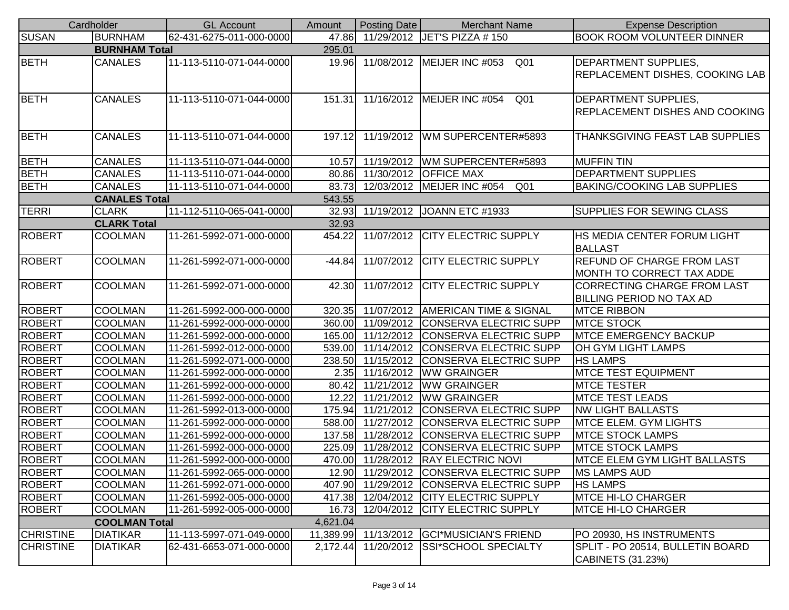|                  | Cardholder           | <b>GL Account</b>        | Amount    | Posting Date | <b>Merchant Name</b>                            | <b>Expense Description</b>                                           |
|------------------|----------------------|--------------------------|-----------|--------------|-------------------------------------------------|----------------------------------------------------------------------|
| <b>SUSAN</b>     | <b>BURNHAM</b>       | 62-431-6275-011-000-0000 | 47.86     |              | 11/29/2012 JET'S PIZZA # 150                    | <b>BOOK ROOM VOLUNTEER DINNER</b>                                    |
|                  | <b>BURNHAM Total</b> |                          | 295.01    |              |                                                 |                                                                      |
| <b>BETH</b>      | <b>CANALES</b>       | 11-113-5110-071-044-0000 | 19.96     |              | 11/08/2012   MEIJER INC #053<br>Q <sub>01</sub> | <b>DEPARTMENT SUPPLIES,</b>                                          |
|                  |                      |                          |           |              |                                                 | <b>REPLACEMENT DISHES, COOKING LAB</b>                               |
| <b>BETH</b>      | <b>CANALES</b>       |                          |           |              | 11/16/2012 MEIJER INC #054                      |                                                                      |
|                  |                      | 11-113-5110-071-044-0000 | 151.31    |              | Q <sub>01</sub>                                 | <b>DEPARTMENT SUPPLIES,</b><br><b>REPLACEMENT DISHES AND COOKING</b> |
|                  |                      |                          |           |              |                                                 |                                                                      |
| <b>BETH</b>      | <b>CANALES</b>       | 11-113-5110-071-044-0000 | 197.12    |              | 11/19/2012 WM SUPERCENTER#5893                  | <b>THANKSGIVING FEAST LAB SUPPLIES</b>                               |
|                  |                      |                          |           |              |                                                 |                                                                      |
| <b>BETH</b>      | <b>CANALES</b>       | 11-113-5110-071-044-0000 | 10.57     |              | 11/19/2012   WM SUPERCENTER#5893                | <b>MUFFIN TIN</b>                                                    |
| <b>BETH</b>      | <b>CANALES</b>       | 11-113-5110-071-044-0000 | 80.86     |              | 11/30/2012 OFFICE MAX                           | <b>DEPARTMENT SUPPLIES</b>                                           |
| <b>BETH</b>      | <b>CANALES</b>       | 11-113-5110-071-044-0000 | 83.73     |              | 12/03/2012   MEIJER INC #054<br>Q <sub>01</sub> | <b>BAKING/COOKING LAB SUPPLIES</b>                                   |
|                  | <b>CANALES Total</b> |                          | 543.55    |              |                                                 |                                                                      |
| <b>TERRI</b>     | <b>CLARK</b>         | 11-112-5110-065-041-0000 | 32.93     |              | 11/19/2012 JOANN ETC #1933                      | SUPPLIES FOR SEWING CLASS                                            |
|                  | <b>CLARK Total</b>   |                          | 32.93     |              |                                                 |                                                                      |
| <b>ROBERT</b>    | <b>COOLMAN</b>       | 11-261-5992-071-000-0000 | 454.22    |              | 11/07/2012 CITY ELECTRIC SUPPLY                 | HS MEDIA CENTER FORUM LIGHT                                          |
|                  |                      |                          |           |              |                                                 | <b>BALLAST</b>                                                       |
| <b>ROBERT</b>    | <b>COOLMAN</b>       | 11-261-5992-071-000-0000 | $-44.84$  | 11/07/2012   | <b>CITY ELECTRIC SUPPLY</b>                     | <b>REFUND OF CHARGE FROM LAST</b>                                    |
|                  |                      |                          |           |              |                                                 | MONTH TO CORRECT TAX ADDE                                            |
| <b>ROBERT</b>    | <b>COOLMAN</b>       | 11-261-5992-071-000-0000 | 42.30     |              | 11/07/2012 CITY ELECTRIC SUPPLY                 | CORRECTING CHARGE FROM LAST                                          |
|                  |                      |                          |           |              |                                                 | <b>BILLING PERIOD NO TAX AD</b>                                      |
| <b>ROBERT</b>    | COOLMAN              | 11-261-5992-000-000-0000 |           |              | 320.35 11/07/2012 AMERICAN TIME & SIGNAL        | <b>MTCE RIBBON</b>                                                   |
| <b>ROBERT</b>    | COOLMAN              | 11-261-5992-000-000-0000 |           |              | 360.00 11/09/2012 CONSERVA ELECTRIC SUPP        | <b>MTCE STOCK</b>                                                    |
| <b>ROBERT</b>    | <b>COOLMAN</b>       | 11-261-5992-000-000-0000 | 165.00    | 11/12/2012   | <b>CONSERVA ELECTRIC SUPP</b>                   | <b>MTCE EMERGENCY BACKUP</b>                                         |
| <b>ROBERT</b>    | <b>COOLMAN</b>       | 11-261-5992-012-000-0000 | 539.00    | 11/14/2012   | CONSERVA ELECTRIC SUPP                          | OH GYM LIGHT LAMPS                                                   |
| <b>ROBERT</b>    | <b>COOLMAN</b>       | 11-261-5992-071-000-0000 | 238.50    |              | 11/15/2012 CONSERVA ELECTRIC SUPP               | <b>HS LAMPS</b>                                                      |
| <b>ROBERT</b>    | <b>COOLMAN</b>       | 11-261-5992-000-000-0000 | 2.35      |              | 11/16/2012   WW GRAINGER                        | <b>IMTCE TEST EQUIPMENT</b>                                          |
| <b>ROBERT</b>    | <b>COOLMAN</b>       | 11-261-5992-000-000-0000 | 80.42     |              | 11/21/2012   WW GRAINGER                        | <b>MTCE TESTER</b>                                                   |
| <b>ROBERT</b>    | <b>COOLMAN</b>       | 11-261-5992-000-000-0000 | 12.22     |              | 11/21/2012   WW GRAINGER                        | <b>MTCE TEST LEADS</b>                                               |
| <b>ROBERT</b>    | COOLMAN              | 11-261-5992-013-000-0000 | 175.94    |              | 11/21/2012 CONSERVA ELECTRIC SUPP               | <b>NW LIGHT BALLASTS</b>                                             |
| ROBERT           | <b>COOLMAN</b>       | 11-261-5992-000-000-0000 | 588.00    |              | 11/27/2012 CONSERVA ELECTRIC SUPP               | <b>MTCE ELEM. GYM LIGHTS</b>                                         |
| <b>ROBERT</b>    | COOLMAN              | 11-261-5992-000-000-0000 | 137.58    | 11/28/2012   | <b>CONSERVA ELECTRIC SUPP</b>                   | <b>MTCE STOCK LAMPS</b>                                              |
| <b>ROBERT</b>    | <b>COOLMAN</b>       | 11-261-5992-000-000-0000 | 225.09    |              | 11/28/2012 CONSERVA ELECTRIC SUPP               | <b>MTCE STOCK LAMPS</b>                                              |
| <b>ROBERT</b>    | <b>COOLMAN</b>       | 11-261-5992-000-000-0000 |           |              | 470.00 11/28/2012 RAY ELECTRIC NOVI             | IMTCE ELEM GYM LIGHT BALLASTS                                        |
| <b>ROBERT</b>    | <b>COOLMAN</b>       | 11-261-5992-065-000-0000 |           |              | 12.90 11/29/2012 CONSERVA ELECTRIC SUPP         | <b>MS LAMPS AUD</b>                                                  |
| <b>ROBERT</b>    | <b>COOLMAN</b>       | 11-261-5992-071-000-0000 | 407.90    |              | 11/29/2012 CONSERVA ELECTRIC SUPP               | <b>HS LAMPS</b>                                                      |
| <b>ROBERT</b>    | <b>COOLMAN</b>       | 11-261-5992-005-000-0000 |           |              | 417.38 12/04/2012 CITY ELECTRIC SUPPLY          | <b>MTCE HI-LO CHARGER</b>                                            |
| <b>ROBERT</b>    | <b>COOLMAN</b>       | 11-261-5992-005-000-0000 | 16.73     |              | 12/04/2012 CITY ELECTRIC SUPPLY                 | <b>MTCE HI-LO CHARGER</b>                                            |
|                  | <b>COOLMAN Total</b> |                          | 4,621.04  |              |                                                 |                                                                      |
| <b>CHRISTINE</b> | <b>DIATIKAR</b>      | 11-113-5997-071-049-0000 | 11,389.99 |              | 11/13/2012 GCI*MUSICIAN'S FRIEND                | PO 20930, HS INSTRUMENTS                                             |
| <b>CHRISTINE</b> | <b>DIATIKAR</b>      | 62-431-6653-071-000-0000 | 2,172.44  |              | 11/20/2012 SSI*SCHOOL SPECIALTY                 | SPLIT - PO 20514, BULLETIN BOARD                                     |
|                  |                      |                          |           |              |                                                 | CABINETS (31.23%)                                                    |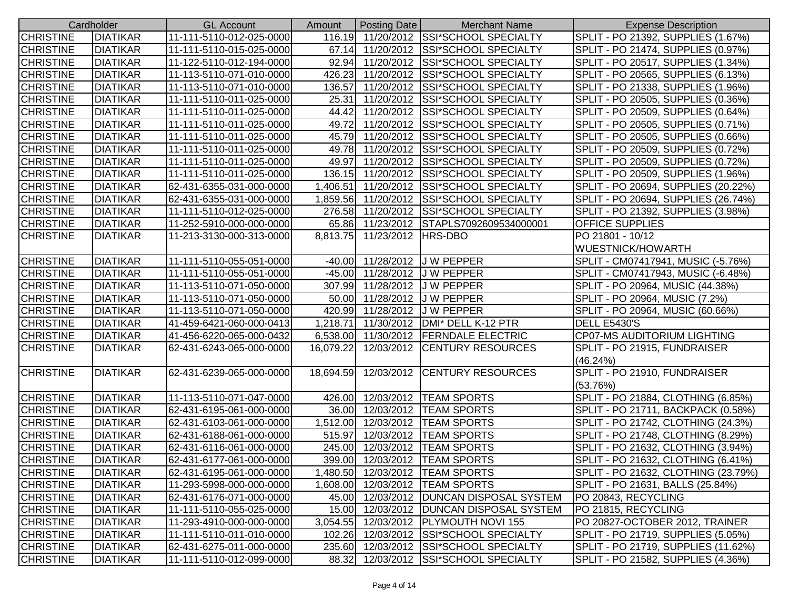|                  | Cardholder      | <b>GL Account</b>        | Amount    | <b>Posting Date</b>         | <b>Merchant Name</b>                      | <b>Expense Description</b>          |
|------------------|-----------------|--------------------------|-----------|-----------------------------|-------------------------------------------|-------------------------------------|
| <b>CHRISTINE</b> | <b>DIATIKAR</b> | 11-111-5110-012-025-0000 |           |                             | 116.19 11/20/2012 SSI*SCHOOL SPECIALTY    | SPLIT - PO 21392, SUPPLIES (1.67%)  |
| <b>CHRISTINE</b> | <b>DIATIKAR</b> | 11-111-5110-015-025-0000 |           |                             | 67.14 11/20/2012 SSI*SCHOOL SPECIALTY     | SPLIT - PO 21474, SUPPLIES (0.97%)  |
| <b>CHRISTINE</b> | <b>DIATIKAR</b> | 11-122-5110-012-194-0000 |           |                             | 92.94 11/20/2012 SSI*SCHOOL SPECIALTY     | SPLIT - PO 20517, SUPPLIES (1.34%)  |
| <b>CHRISTINE</b> | <b>DIATIKAR</b> | 11-113-5110-071-010-0000 |           |                             | 426.23 11/20/2012 SSI*SCHOOL SPECIALTY    | SPLIT - PO 20565, SUPPLIES (6.13%)  |
| <b>CHRISTINE</b> | DIATIKAR        | 11-113-5110-071-010-0000 | 136.57    |                             | 11/20/2012 SSI*SCHOOL SPECIALTY           | SPLIT - PO 21338, SUPPLIES (1.96%)  |
| <b>CHRISTINE</b> | <b>DIATIKAR</b> | 11-111-5110-011-025-0000 | 25.31     |                             | 11/20/2012 SSI*SCHOOL SPECIALTY           | SPLIT - PO 20505, SUPPLIES (0.36%)  |
| <b>CHRISTINE</b> | <b>DIATIKAR</b> | 11-111-5110-011-025-0000 | 44.42     |                             | 11/20/2012 SSI*SCHOOL SPECIALTY           | SPLIT - PO 20509, SUPPLIES (0.64%)  |
| <b>CHRISTINE</b> | <b>DIATIKAR</b> | 11-111-5110-011-025-0000 | 49.72     |                             | 11/20/2012 SSI*SCHOOL SPECIALTY           | SPLIT - PO 20505, SUPPLIES (0.71%)  |
| <b>CHRISTINE</b> | <b>DIATIKAR</b> | 11-111-5110-011-025-0000 |           | 45.79 11/20/2012            | SSI*SCHOOL SPECIALTY                      | SPLIT - PO 20505, SUPPLIES (0.66%)  |
| <b>CHRISTINE</b> | <b>DIATIKAR</b> | 11-111-5110-011-025-0000 |           |                             | 49.78 11/20/2012 SSI*SCHOOL SPECIALTY     | SPLIT - PO 20509, SUPPLIES (0.72%)  |
| <b>CHRISTINE</b> | <b>DIATIKAR</b> | 11-111-5110-011-025-0000 | 49.97     | 11/20/2012                  | <b>SSI*SCHOOL SPECIALTY</b>               | SPLIT - PO 20509, SUPPLIES (0.72%)  |
| <b>CHRISTINE</b> | <b>DIATIKAR</b> | 11-111-5110-011-025-0000 | 136.15    | 11/20/2012                  | <b>SSI*SCHOOL SPECIALTY</b>               | SPLIT - PO 20509, SUPPLIES (1.96%)  |
| <b>CHRISTINE</b> | <b>DIATIKAR</b> | 62-431-6355-031-000-0000 | 1,406.51  | 11/20/2012                  | <b>SSI*SCHOOL SPECIALTY</b>               | SPLIT - PO 20694, SUPPLIES (20.22%) |
| <b>CHRISTINE</b> | <b>DIATIKAR</b> | 62-431-6355-031-000-0000 |           | 1,859.56 11/20/2012         | <b>SSI*SCHOOL SPECIALTY</b>               | SPLIT - PO 20694, SUPPLIES (26.74%) |
| <b>CHRISTINE</b> | <b>DIATIKAR</b> | 11-111-5110-012-025-0000 |           | 276.58 11/20/2012           | SSI*SCHOOL SPECIALTY                      | SPLIT - PO 21392, SUPPLIES (3.98%)  |
| <b>CHRISTINE</b> | <b>DIATIKAR</b> | 11-252-5910-000-000-0000 |           |                             | 65.86 11/23/2012 STAPLS7092609534000001   | <b>OFFICE SUPPLIES</b>              |
| <b>CHRISTINE</b> | <b>DIATIKAR</b> | 11-213-3130-000-313-0000 |           | 8,813.75 11/23/2012 HRS-DBO |                                           | PO 21801 - 10/12                    |
|                  |                 |                          |           |                             |                                           | WUESTNICK/HOWARTH                   |
| <b>CHRISTINE</b> | <b>DIATIKAR</b> | 11-111-5110-055-051-0000 | $-40.00$  |                             | 11/28/2012 J W PEPPER                     | SPLIT - CM07417941, MUSIC (-5.76%)  |
| <b>CHRISTINE</b> | <b>DIATIKAR</b> | 11-111-5110-055-051-0000 |           |                             | -45.00 11/28/2012 J W PEPPER              | SPLIT - CM07417943, MUSIC (-6.48%)  |
| <b>CHRISTINE</b> | <b>DIATIKAR</b> | 11-113-5110-071-050-0000 |           |                             | 307.99 11/28/2012 J W PEPPER              | SPLIT - PO 20964, MUSIC (44.38%)    |
| <b>CHRISTINE</b> | <b>DIATIKAR</b> | 11-113-5110-071-050-0000 |           |                             | 50.00 11/28/2012 J W PEPPER               | SPLIT - PO 20964, MUSIC (7.2%)      |
| <b>CHRISTINE</b> | <b>DIATIKAR</b> | 11-113-5110-071-050-0000 |           |                             | 420.99 11/28/2012 J W PEPPER              | SPLIT - PO 20964, MUSIC (60.66%)    |
| <b>CHRISTINE</b> | <b>DIATIKAR</b> | 41-459-6421-060-000-0413 | 1,218.71  |                             | 11/30/2012   DMI* DELL K-12 PTR           | <b>DELL E5430'S</b>                 |
| <b>CHRISTINE</b> | <b>DIATIKAR</b> | 41-456-6220-065-000-0432 |           |                             | 6,538.00 11/30/2012 FERNDALE ELECTRIC     | <b>CP07-MS AUDITORIUM LIGHTING</b>  |
| <b>CHRISTINE</b> | <b>DIATIKAR</b> | 62-431-6243-065-000-0000 | 16,079.22 |                             | 12/03/2012 CENTURY RESOURCES              | SPLIT - PO 21915, FUNDRAISER        |
|                  |                 |                          |           |                             |                                           | (46.24%)                            |
| <b>CHRISTINE</b> | <b>DIATIKAR</b> | 62-431-6239-065-000-0000 |           |                             | 18,694.59 12/03/2012 CENTURY RESOURCES    | SPLIT - PO 21910, FUNDRAISER        |
|                  |                 |                          |           |                             |                                           | (53.76%)                            |
| <b>CHRISTINE</b> | <b>DIATIKAR</b> | 11-113-5110-071-047-0000 |           |                             | 426.00 12/03/2012 TEAM SPORTS             | SPLIT - PO 21884, CLOTHING (6.85%)  |
| <b>CHRISTINE</b> | <b>DIATIKAR</b> | 62-431-6195-061-000-0000 |           |                             | 36.00 12/03/2012 TEAM SPORTS              | SPLIT - PO 21711, BACKPACK (0.58%)  |
| <b>CHRISTINE</b> | <b>DIATIKAR</b> | 62-431-6103-061-000-0000 |           |                             | 1,512.00 12/03/2012 TEAM SPORTS           | SPLIT - PO 21742, CLOTHING (24.3%)  |
| <b>CHRISTINE</b> | <b>DIATIKAR</b> | 62-431-6188-061-000-0000 | 515.97    |                             | 12/03/2012 TEAM SPORTS                    | SPLIT - PO 21748, CLOTHING (8.29%)  |
| <b>CHRISTINE</b> | <b>DIATIKAR</b> | 62-431-6116-061-000-0000 |           | 245.00 12/03/2012           | <b>TEAM SPORTS</b>                        | SPLIT - PO 21632, CLOTHING (3.94%)  |
| <b>CHRISTINE</b> | <b>DIATIKAR</b> | 62-431-6177-061-000-0000 |           |                             | 399.00 12/03/2012   TEAM SPORTS           | SPLIT - PO 21632, CLOTHING (6.41%)  |
| <b>CHRISTINE</b> | <b>DIATIKAR</b> | 62-431-6195-061-000-0000 |           |                             | 1,480.50 12/03/2012   TEAM SPORTS         | SPLIT - PO 21632, CLOTHING (23.79%) |
| <b>CHRISTINE</b> | <b>DIATIKAR</b> | 11-293-5998-000-000-0000 | 1,608.00  | 12/03/2012                  | <b>TEAM SPORTS</b>                        | SPLIT - PO 21631, BALLS (25.84%)    |
| <b>CHRISTINE</b> | <b>DIATIKAR</b> | 62-431-6176-071-000-0000 |           |                             | 45.00 12/03/2012   DUNCAN DISPOSAL SYSTEM | PO 20843, RECYCLING                 |
| <b>CHRISTINE</b> | <b>DIATIKAR</b> | 11-111-5110-055-025-0000 |           |                             | 15.00 12/03/2012   DUNCAN DISPOSAL SYSTEM | PO 21815, RECYCLING                 |
| <b>CHRISTINE</b> | <b>DIATIKAR</b> | 11-293-4910-000-000-0000 | 3,054.55  |                             | 12/03/2012   PLYMOUTH NOVI 155            | PO 20827-OCTOBER 2012, TRAINER      |
| <b>CHRISTINE</b> | <b>DIATIKAR</b> | 11-111-5110-011-010-0000 | 102.26    |                             | 12/03/2012 SSI*SCHOOL SPECIALTY           | SPLIT - PO 21719, SUPPLIES (5.05%)  |
| <b>CHRISTINE</b> | <b>DIATIKAR</b> | 62-431-6275-011-000-0000 |           |                             | 235.60 12/03/2012 SSI*SCHOOL SPECIALTY    | SPLIT - PO 21719, SUPPLIES (11.62%) |
| <b>CHRISTINE</b> | <b>DIATIKAR</b> | 11-111-5110-012-099-0000 | 88.32     |                             | 12/03/2012 SSI*SCHOOL SPECIALTY           | SPLIT - PO 21582, SUPPLIES (4.36%)  |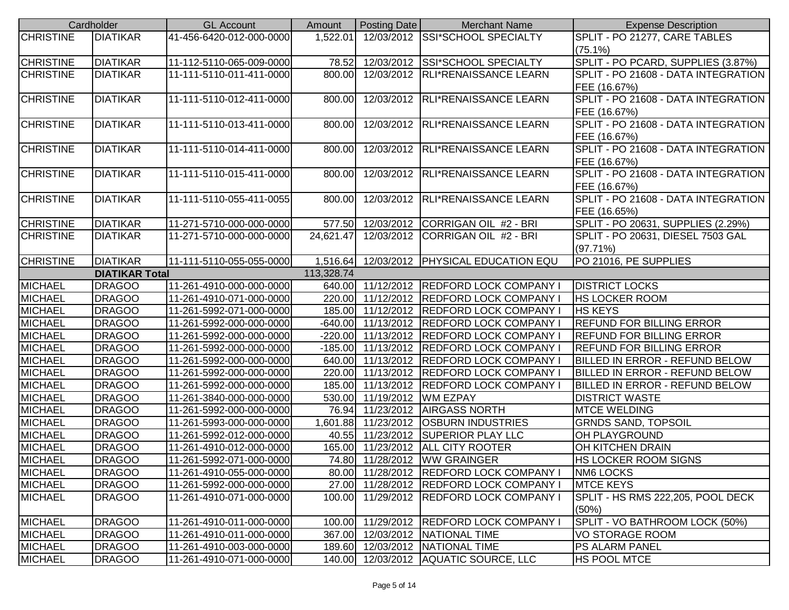|                  | Cardholder            | <b>GL Account</b>        | Amount     | Posting Date               | <b>Merchant Name</b>                      | <b>Expense Description</b>            |
|------------------|-----------------------|--------------------------|------------|----------------------------|-------------------------------------------|---------------------------------------|
| <b>CHRISTINE</b> | <b>DIATIKAR</b>       | 41-456-6420-012-000-0000 | 1,522.01   |                            | 12/03/2012 SSI*SCHOOL SPECIALTY           | SPLIT - PO 21277, CARE TABLES         |
|                  |                       |                          |            |                            |                                           | $(75.1\%)$                            |
| <b>CHRISTINE</b> | <b>DIATIKAR</b>       | 11-112-5110-065-009-0000 | 78.52      |                            | 12/03/2012 SSI*SCHOOL SPECIALTY           | SPLIT - PO PCARD, SUPPLIES (3.87%)    |
| <b>CHRISTINE</b> | <b>DIATIKAR</b>       | 11-111-5110-011-411-0000 | 800.00     |                            | 12/03/2012   RLI*RENAISSANCE LEARN        | SPLIT - PO 21608 - DATA INTEGRATION   |
|                  |                       |                          |            |                            |                                           | FEE (16.67%)                          |
| <b>CHRISTINE</b> | <b>DIATIKAR</b>       | 11-111-5110-012-411-0000 | 800.00     |                            | 12/03/2012 RLI*RENAISSANCE LEARN          | SPLIT - PO 21608 - DATA INTEGRATION   |
|                  |                       |                          |            |                            |                                           | FEE (16.67%)                          |
| <b>CHRISTINE</b> | <b>DIATIKAR</b>       | 11-111-5110-013-411-0000 | 800.00     |                            | 12/03/2012 RLI*RENAISSANCE LEARN          | SPLIT - PO 21608 - DATA INTEGRATION   |
|                  |                       |                          |            |                            |                                           | FEE (16.67%)                          |
| <b>CHRISTINE</b> | <b>DIATIKAR</b>       | 11-111-5110-014-411-0000 | 800.00     |                            | 12/03/2012 RLI*RENAISSANCE LEARN          | SPLIT - PO 21608 - DATA INTEGRATION   |
|                  |                       |                          |            |                            |                                           | FEE (16.67%)                          |
| <b>CHRISTINE</b> | <b>DIATIKAR</b>       | 11-111-5110-015-411-0000 | 800.00     |                            | 12/03/2012 RLI*RENAISSANCE LEARN          | SPLIT - PO 21608 - DATA INTEGRATION   |
|                  |                       |                          |            |                            |                                           | FEE (16.67%)                          |
| <b>CHRISTINE</b> | <b>DIATIKAR</b>       | 11-111-5110-055-411-0055 | 800.00     |                            | 12/03/2012 RLI*RENAISSANCE LEARN          | SPLIT - PO 21608 - DATA INTEGRATION   |
|                  |                       |                          |            |                            |                                           | FEE (16.65%)                          |
| <b>CHRISTINE</b> | <b>DIATIKAR</b>       | 11-271-5710-000-000-0000 | 577.50     |                            | 12/03/2012 CORRIGAN OIL #2 - BRI          | SPLIT - PO 20631, SUPPLIES (2.29%)    |
| <b>CHRISTINE</b> | <b>DIATIKAR</b>       | 11-271-5710-000-000-0000 | 24,621.47  |                            | 12/03/2012 CORRIGAN OIL #2 - BRI          | SPLIT - PO 20631, DIESEL 7503 GAL     |
|                  |                       |                          |            |                            |                                           | (97.71%)                              |
| <b>CHRISTINE</b> | <b>DIATIKAR</b>       | 11-111-5110-055-055-0000 | 1,516.64   |                            | 12/03/2012   PHYSICAL EDUCATION EQU       | PO 21016, PE SUPPLIES                 |
|                  | <b>DIATIKAR Total</b> |                          | 113,328.74 |                            |                                           |                                       |
| <b>MICHAEL</b>   | <b>DRAGOO</b>         | 11-261-4910-000-000-0000 |            |                            | 640.00 11/12/2012 REDFORD LOCK COMPANY I  | <b>DISTRICT LOCKS</b>                 |
| <b>MICHAEL</b>   | <b>DRAGOO</b>         | 11-261-4910-071-000-0000 |            |                            | 220.00 11/12/2012 REDFORD LOCK COMPANY I  | <b>HS LOCKER ROOM</b>                 |
| <b>MICHAEL</b>   | <b>DRAGOO</b>         | 11-261-5992-071-000-0000 |            |                            | 185.00 11/12/2012 REDFORD LOCK COMPANY I  | <b>HS KEYS</b>                        |
| <b>MICHAEL</b>   | <b>DRAGOO</b>         | 11-261-5992-000-000-0000 |            |                            | -640.00 11/13/2012 REDFORD LOCK COMPANY I | <b>REFUND FOR BILLING ERROR</b>       |
| <b>MICHAEL</b>   | <b>DRAGOO</b>         | 11-261-5992-000-000-0000 | $-220.00$  |                            | 11/13/2012 REDFORD LOCK COMPANY           | <b>REFUND FOR BILLING ERROR</b>       |
| <b>MICHAEL</b>   | <b>DRAGOO</b>         | 11-261-5992-000-000-0000 | $-185.00$  |                            | 11/13/2012 REDFORD LOCK COMPANY           | <b>REFUND FOR BILLING ERROR</b>       |
| <b>MICHAEL</b>   | <b>DRAGOO</b>         | 11-261-5992-000-000-0000 | 640.00     |                            | 11/13/2012 REDFORD LOCK COMPANY           | BILLED IN ERROR - REFUND BELOW        |
| <b>MICHAEL</b>   | <b>DRAGOO</b>         | 11-261-5992-000-000-0000 |            |                            | 220.00 11/13/2012 REDFORD LOCK COMPANY    | <b>BILLED IN ERROR - REFUND BELOW</b> |
| <b>MICHAEL</b>   | <b>DRAGOO</b>         | 11-261-5992-000-000-0000 |            |                            | 185.00 11/13/2012 REDFORD LOCK COMPANY    | <b>BILLED IN ERROR - REFUND BELOW</b> |
| <b>MICHAEL</b>   | <b>DRAGOO</b>         | 11-261-3840-000-000-0000 |            | 530.00 11/19/2012 WM EZPAY |                                           | <b>DISTRICT WASTE</b>                 |
| <b>MICHAEL</b>   | <b>DRAGOO</b>         | 11-261-5992-000-000-0000 |            |                            | 76.94 11/23/2012 AIRGASS NORTH            | <b>MTCE WELDING</b>                   |
| <b>MICHAEL</b>   | <b>DRAGOO</b>         | 11-261-5993-000-000-0000 |            |                            | 1,601.88 11/23/2012 OSBURN INDUSTRIES     | <b>GRNDS SAND, TOPSOIL</b>            |
| <b>MICHAEL</b>   | <b>DRAGOO</b>         | 11-261-5992-012-000-0000 |            |                            | 40.55 11/23/2012 SUPERIOR PLAY LLC        | <b>OH PLAYGROUND</b>                  |
| <b>MICHAEL</b>   | <b>DRAGOO</b>         | 11-261-4910-012-000-0000 |            |                            | 165.00 11/23/2012 ALL CITY ROOTER         | <b>OH KITCHEN DRAIN</b>               |
| <b>MICHAEL</b>   | <b>DRAGOO</b>         | 11-261-5992-071-000-0000 |            |                            | 74.80 11/28/2012 WW GRAINGER              | <b>HS LOCKER ROOM SIGNS</b>           |
| <b>MICHAEL</b>   | <b>DRAGOO</b>         | 11-261-4910-055-000-0000 |            |                            | 80.00 11/28/2012 REDFORD LOCK COMPANY     | NM6 LOCKS                             |
| <b>MICHAEL</b>   | <b>DRAGOO</b>         | 11-261-5992-000-000-0000 |            |                            | 27.00 11/28/2012 REDFORD LOCK COMPANY     | <b>MTCE KEYS</b>                      |
| <b>MICHAEL</b>   | <b>DRAGOO</b>         | 11-261-4910-071-000-0000 | 100.00     |                            | 11/29/2012  REDFORD LOCK COMPANY I        | SPLIT - HS RMS 222,205, POOL DECK     |
|                  |                       |                          |            |                            |                                           | (50%)                                 |
| <b>MICHAEL</b>   | <b>DRAGOO</b>         | 11-261-4910-011-000-0000 |            |                            | 100.00 11/29/2012 REDFORD LOCK COMPANY    | SPLIT - VO BATHROOM LOCK (50%)        |
| <b>MICHAEL</b>   | <b>DRAGOO</b>         | 11-261-4910-011-000-0000 | 367.00     |                            | 12/03/2012   NATIONAL TIME                | <b>VO STORAGE ROOM</b>                |
| <b>MICHAEL</b>   | <b>DRAGOO</b>         | 11-261-4910-003-000-0000 | 189.60     |                            | 12/03/2012   NATIONAL TIME                | <b>PS ALARM PANEL</b>                 |
| <b>MICHAEL</b>   | <b>DRAGOO</b>         | 11-261-4910-071-000-0000 | 140.00     |                            | 12/03/2012 AQUATIC SOURCE, LLC            | HS POOL MTCE                          |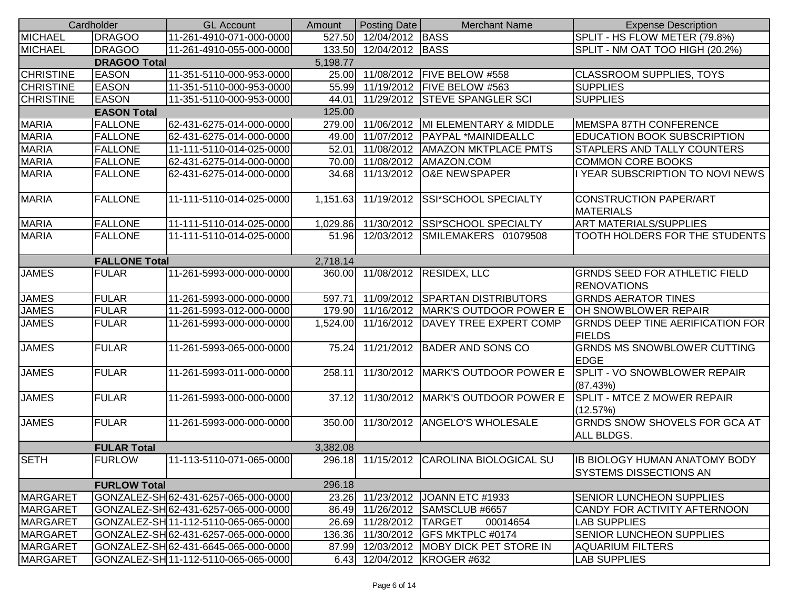|                      | Cardholder          | <b>GL Account</b>                    | Amount   | <b>Posting Date</b> | <b>Merchant Name</b>                     | <b>Expense Description</b>                                     |
|----------------------|---------------------|--------------------------------------|----------|---------------------|------------------------------------------|----------------------------------------------------------------|
| <b>MICHAEL</b>       | <b>DRAGOO</b>       | 11-261-4910-071-000-0000             | 527.50   | 12/04/2012 BASS     |                                          | SPLIT - HS FLOW METER (79.8%)                                  |
| <b>MICHAEL</b>       | <b>DRAGOO</b>       | 11-261-4910-055-000-0000             | 133.50   | 12/04/2012 BASS     |                                          | SPLIT - NM OAT TOO HIGH (20.2%)                                |
|                      | <b>DRAGOO Total</b> |                                      | 5,198.77 |                     |                                          |                                                                |
| <b>CHRISTINE</b>     | <b>EASON</b>        | 11-351-5110-000-953-0000             | 25.00    |                     | 11/08/2012   FIVE BELOW #558             | <b>CLASSROOM SUPPLIES, TOYS</b>                                |
| <b>CHRISTINE</b>     | <b>EASON</b>        | 11-351-5110-000-953-0000             | 55.99    |                     | 11/19/2012   FIVE BELOW #563             | <b>SUPPLIES</b>                                                |
| <b>CHRISTINE</b>     | <b>EASON</b>        | 11-351-5110-000-953-0000             | 44.01    |                     | 11/29/2012 STEVE SPANGLER SCI            | <b>SUPPLIES</b>                                                |
|                      | <b>EASON Total</b>  |                                      | 125.00   |                     |                                          |                                                                |
| <b>MARIA</b>         | <b>FALLONE</b>      | 62-431-6275-014-000-0000             | 279.00   | 11/06/2012          | MI ELEMENTARY & MIDDLE                   | <b>MEMSPA 87TH CONFERENCE</b>                                  |
| <b>MARIA</b>         | <b>FALLONE</b>      | 62-431-6275-014-000-0000             | 49.00    | 11/07/2012          | PAYPAL *MAINIDEALLC                      | <b>EDUCATION BOOK SUBSCRIPTION</b>                             |
| <b>MARIA</b>         | <b>FALLONE</b>      | 11-111-5110-014-025-0000             | 52.01    |                     | 11/08/2012   AMAZON MKTPLACE PMTS        | <b>STAPLERS AND TALLY COUNTERS</b>                             |
| <b>MARIA</b>         | <b>FALLONE</b>      | 62-431-6275-014-000-0000             | 70.00    |                     | 11/08/2012   AMAZON.COM                  | <b>COMMON CORE BOOKS</b>                                       |
| <b>MARIA</b>         | <b>FALLONE</b>      | 62-431-6275-014-000-0000             | 34.68    | 11/13/2012          | O&E NEWSPAPER                            | I YEAR SUBSCRIPTION TO NOVI NEWS                               |
| <b>MARIA</b>         | <b>FALLONE</b>      | 11-111-5110-014-025-0000             | 1,151.63 | 11/19/2012          | SSI*SCHOOL SPECIALTY                     | <b>CONSTRUCTION PAPER/ART</b><br><b>MATERIALS</b>              |
| <b>MARIA</b>         | <b>FALLONE</b>      | 11-111-5110-014-025-0000             | 1,029.86 | 11/30/2012          | <b>SSI*SCHOOL SPECIALTY</b>              | <b>ART MATERIALS/SUPPLIES</b>                                  |
| <b>MARIA</b>         | <b>FALLONE</b>      | 11-111-5110-014-025-0000             | 51.96    | 12/03/2012          | SMILEMAKERS 01079508                     | TOOTH HOLDERS FOR THE STUDENTS                                 |
| <b>FALLONE Total</b> |                     |                                      | 2,718.14 |                     |                                          |                                                                |
| <b>JAMES</b>         | <b>FULAR</b>        | 11-261-5993-000-000-0000             | 360.00   |                     | 11/08/2012 RESIDEX, LLC                  | <b>GRNDS SEED FOR ATHLETIC FIELD</b><br><b>RENOVATIONS</b>     |
| <b>JAMES</b>         | <b>FULAR</b>        | 11-261-5993-000-000-0000             | 597.71   |                     | 11/09/2012 SPARTAN DISTRIBUTORS          | <b>GRNDS AERATOR TINES</b>                                     |
| <b>JAMES</b>         | <b>FULAR</b>        | 11-261-5993-012-000-0000             | 179.90   |                     | 11/16/2012   MARK'S OUTDOOR POWER E      | OH SNOWBLOWER REPAIR                                           |
| <b>JAMES</b>         | <b>FULAR</b>        | 11-261-5993-000-000-0000             | 1,524.00 |                     | 11/16/2012   DAVEY TREE EXPERT COMP      | <b>GRNDS DEEP TINE AERIFICATION FOR</b><br><b>FIELDS</b>       |
| <b>JAMES</b>         | <b>FULAR</b>        | 11-261-5993-065-000-0000             | 75.24    |                     | 11/21/2012 BADER AND SONS CO             | <b>GRNDS MS SNOWBLOWER CUTTING</b><br><b>EDGE</b>              |
| <b>JAMES</b>         | <b>FULAR</b>        | 11-261-5993-011-000-0000             | 258.11   |                     | 11/30/2012   MARK'S OUTDOOR POWER E      | SPLIT - VO SNOWBLOWER REPAIR<br>(87.43%)                       |
| <b>JAMES</b>         | <b>FULAR</b>        | 11-261-5993-000-000-0000             | 37.12    |                     | 11/30/2012   MARK'S OUTDOOR POWER E      | SPLIT - MTCE Z MOWER REPAIR<br>(12.57%)                        |
| <b>JAMES</b>         | <b>FULAR</b>        | 11-261-5993-000-000-0000             | 350.00   |                     | 11/30/2012 ANGELO'S WHOLESALE            | GRNDS SNOW SHOVELS FOR GCA AT<br>ALL BLDGS.                    |
|                      | <b>FULAR Total</b>  |                                      | 3,382.08 |                     |                                          |                                                                |
| <b>SETH</b>          | <b>FURLOW</b>       | 11-113-5110-071-065-0000             |          |                     | 296.18 11/15/2012 CAROLINA BIOLOGICAL SU | IB BIOLOGY HUMAN ANATOMY BODY<br><b>SYSTEMS DISSECTIONS AN</b> |
|                      | <b>FURLOW Total</b> |                                      | 296.18   |                     |                                          |                                                                |
| <b>MARGARET</b>      |                     | GONZALEZ-SH 62-431-6257-065-000-0000 |          |                     | 23.26 11/23/2012 JOANN ETC #1933         | <b>SENIOR LUNCHEON SUPPLIES</b>                                |
| <b>MARGARET</b>      |                     | GONZALEZ-SH 62-431-6257-065-000-0000 |          |                     | 86.49 11/26/2012 SAMSCLUB #6657          | CANDY FOR ACTIVITY AFTERNOON                                   |
| MARGARET             |                     | GONZALEZ-SH 11-112-5110-065-065-0000 | 26.69    | 11/28/2012 TARGET   | 00014654                                 | <b>LAB SUPPLIES</b>                                            |
| <b>MARGARET</b>      |                     | GONZALEZ-SH 62-431-6257-065-000-0000 | 136.36   |                     | 11/30/2012 GFS MKTPLC #0174              | <b>SENIOR LUNCHEON SUPPLIES</b>                                |
| <b>MARGARET</b>      |                     | GONZALEZ-SH62-431-6645-065-000-0000  | 87.99    |                     | 12/03/2012 MOBY DICK PET STORE IN        | <b>AQUARIUM FILTERS</b>                                        |
| <b>MARGARET</b>      |                     | GONZALEZ-SH 11-112-5110-065-065-0000 | 6.43     |                     | 12/04/2012   KROGER #632                 | <b>LAB SUPPLIES</b>                                            |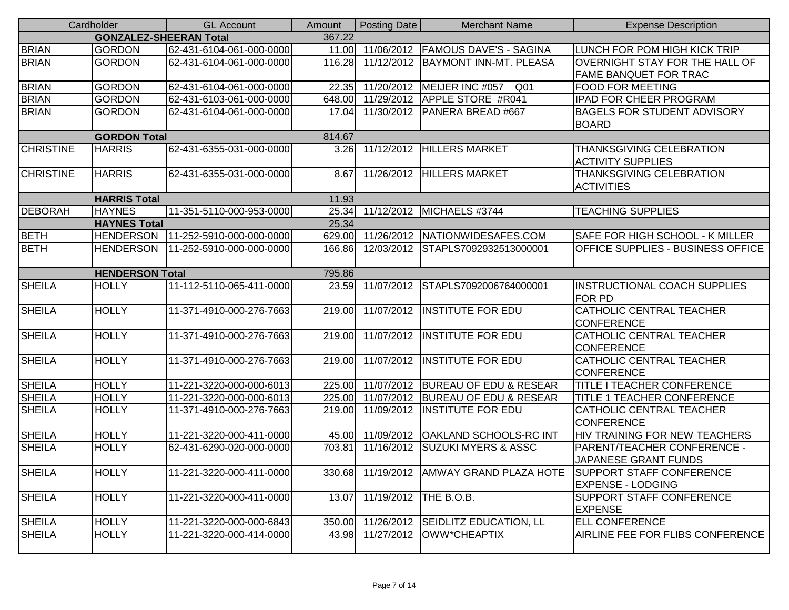|                  | Cardholder                    | <b>GL Account</b>        | <b>Amount</b> | Posting Date           | <b>Merchant Name</b>                          | <b>Expense Description</b>                                  |
|------------------|-------------------------------|--------------------------|---------------|------------------------|-----------------------------------------------|-------------------------------------------------------------|
|                  | <b>GONZALEZ-SHEERAN Total</b> |                          | 367.22        |                        |                                               |                                                             |
| <b>BRIAN</b>     | <b>GORDON</b>                 | 62-431-6104-061-000-0000 |               |                        | 11.00 11/06/2012 FAMOUS DAVE'S - SAGINA       | LUNCH FOR POM HIGH KICK TRIP                                |
| <b>BRIAN</b>     | <b>GORDON</b>                 | 62-431-6104-061-000-0000 | 116.28        |                        | 11/12/2012   BAYMONT INN-MT. PLEASA           | OVERNIGHT STAY FOR THE HALL OF                              |
|                  |                               |                          |               |                        |                                               | <b>FAME BANQUET FOR TRAC</b>                                |
| <b>BRIAN</b>     | <b>GORDON</b>                 | 62-431-6104-061-000-0000 | 22.35         |                        | 11/20/2012 MEIJER INC #057<br>Q <sub>01</sub> | <b>FOOD FOR MEETING</b>                                     |
| <b>BRIAN</b>     | <b>GORDON</b>                 | 62-431-6103-061-000-0000 | 648.00        |                        | 11/29/2012 APPLE STORE #R041                  | <b>IPAD FOR CHEER PROGRAM</b>                               |
| <b>BRIAN</b>     | <b>GORDON</b>                 | 62-431-6104-061-000-0000 | 17.04         |                        | 11/30/2012   PANERA BREAD #667                | <b>BAGELS FOR STUDENT ADVISORY</b><br><b>BOARD</b>          |
|                  | <b>GORDON Total</b>           |                          | 814.67        |                        |                                               |                                                             |
| <b>CHRISTINE</b> | <b>HARRIS</b>                 | 62-431-6355-031-000-0000 |               |                        | 3.26 11/12/2012 HILLERS MARKET                | <b>THANKSGIVING CELEBRATION</b><br><b>ACTIVITY SUPPLIES</b> |
| <b>CHRISTINE</b> | <b>HARRIS</b>                 | 62-431-6355-031-000-0000 | 8.67          | 11/26/2012             | <b>HILLERS MARKET</b>                         | THANKSGIVING CELEBRATION<br><b>ACTIVITIES</b>               |
|                  | <b>HARRIS Total</b>           |                          | 11.93         |                        |                                               |                                                             |
| <b>DEBORAH</b>   | <b>HAYNES</b>                 | 11-351-5110-000-953-0000 | 25.34         |                        | 11/12/2012 MICHAELS #3744                     | <b>TEACHING SUPPLIES</b>                                    |
|                  | <b>HAYNES Total</b>           |                          | 25.34         |                        |                                               |                                                             |
| <b>BETH</b>      | <b>HENDERSON</b>              | 11-252-5910-000-000-0000 |               |                        | 629.00 11/26/2012 NATIONWIDESAFES.COM         | SAFE FOR HIGH SCHOOL - K MILLER                             |
| <b>BETH</b>      | <b>HENDERSON</b>              | 11-252-5910-000-000-0000 | 166.86        |                        | 12/03/2012 STAPLS7092932513000001             | OFFICE SUPPLIES - BUSINESS OFFICE                           |
|                  | <b>HENDERSON Total</b>        |                          | 795.86        |                        |                                               |                                                             |
| <b>SHEILA</b>    | <b>HOLLY</b>                  | 11-112-5110-065-411-0000 | 23.59         | 11/07/2012             | STAPLS7092006764000001                        | <b>INSTRUCTIONAL COACH SUPPLIES</b><br><b>FOR PD</b>        |
| <b>SHEILA</b>    | <b>HOLLY</b>                  | 11-371-4910-000-276-7663 | 219.00        |                        | 11/07/2012 INSTITUTE FOR EDU                  | CATHOLIC CENTRAL TEACHER<br><b>CONFERENCE</b>               |
| <b>SHEILA</b>    | <b>HOLLY</b>                  | 11-371-4910-000-276-7663 | 219.00        |                        | 11/07/2012 INSTITUTE FOR EDU                  | CATHOLIC CENTRAL TEACHER<br><b>CONFERENCE</b>               |
| <b>SHEILA</b>    | <b>HOLLY</b>                  | 11-371-4910-000-276-7663 | 219.00        |                        | 11/07/2012 INSTITUTE FOR EDU                  | CATHOLIC CENTRAL TEACHER<br><b>CONFERENCE</b>               |
| <b>SHEILA</b>    | <b>HOLLY</b>                  | 11-221-3220-000-000-6013 |               |                        | 225.00 11/07/2012 BUREAU OF EDU & RESEAR      | <b>TITLE I TEACHER CONFERENCE</b>                           |
| <b>SHEILA</b>    | <b>HOLLY</b>                  | 11-221-3220-000-000-6013 | 225.00        | 11/07/2012             | <b>BUREAU OF EDU &amp; RESEAR</b>             | <b>TITLE 1 TEACHER CONFERENCE</b>                           |
| <b>SHEILA</b>    | <b>HOLLY</b>                  | 11-371-4910-000-276-7663 | 219.00        |                        | 11/09/2012 IINSTITUTE FOR EDU                 | CATHOLIC CENTRAL TEACHER<br><b>CONFERENCE</b>               |
| <b>SHEILA</b>    | <b>HOLLY</b>                  | 11-221-3220-000-411-0000 | 45.00         |                        | 11/09/2012   OAKLAND SCHOOLS-RC INT           | HIV TRAINING FOR NEW TEACHERS                               |
| <b>SHEILA</b>    | <b>HOLLY</b>                  | 62-431-6290-020-000-0000 | 703.81        |                        | 11/16/2012 SUZUKI MYERS & ASSC                | <b>PARENT/TEACHER CONFERENCE -</b><br>JAPANESE GRANT FUNDS  |
| <b>SHEILA</b>    | <b>HOLLY</b>                  | 11-221-3220-000-411-0000 |               |                        | 330.68 11/19/2012 AMWAY GRAND PLAZA HOTE      | <b>SUPPORT STAFF CONFERENCE</b><br><b>EXPENSE - LODGING</b> |
| <b>SHEILA</b>    | <b>HOLLY</b>                  | 11-221-3220-000-411-0000 | 13.07         | 11/19/2012  THE B.O.B. |                                               | SUPPORT STAFF CONFERENCE<br><b>EXPENSE</b>                  |
| <b>SHEILA</b>    | <b>HOLLY</b>                  | 11-221-3220-000-000-6843 | 350.00        |                        | 11/26/2012 SEIDLITZ EDUCATION, LL             | <b>ELL CONFERENCE</b>                                       |
| <b>SHEILA</b>    | <b>HOLLY</b>                  | 11-221-3220-000-414-0000 | 43.98         |                        | 11/27/2012 OWW*CHEAPTIX                       | AIRLINE FEE FOR FLIBS CONFERENCE                            |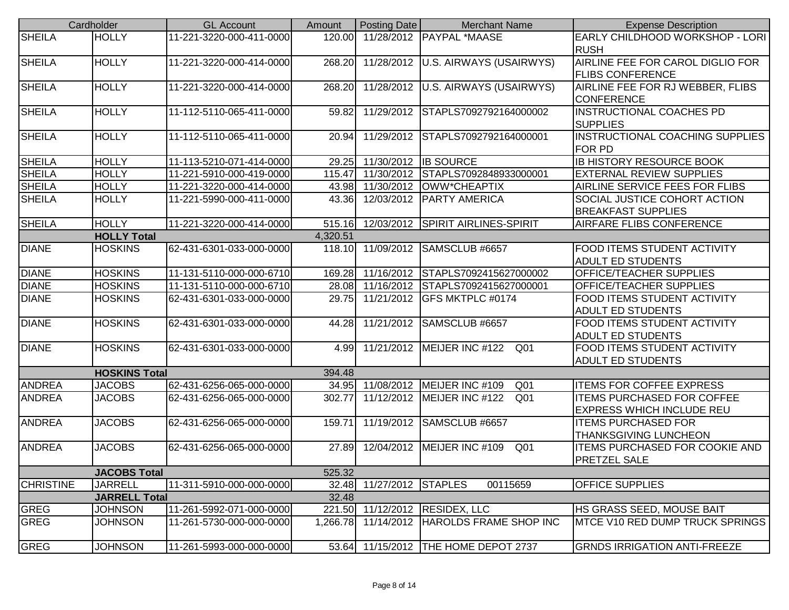|                              | Cardholder                       | <b>GL Account</b>                                    | Amount   | Posting Date       | <b>Merchant Name</b>                                                   | <b>Expense Description</b>                                       |
|------------------------------|----------------------------------|------------------------------------------------------|----------|--------------------|------------------------------------------------------------------------|------------------------------------------------------------------|
| <b>SHEILA</b>                | <b>HOLLY</b>                     | 11-221-3220-000-411-0000                             | 120.00   |                    | 11/28/2012 PAYPAL *MAASE                                               | EARLY CHILDHOOD WORKSHOP - LORI                                  |
|                              |                                  |                                                      |          |                    |                                                                        | <b>RUSH</b>                                                      |
| <b>SHEILA</b>                | <b>HOLLY</b>                     | 11-221-3220-000-414-0000                             | 268.20   |                    | 11/28/2012   U.S. AIRWAYS (USAIRWYS)                                   | AIRLINE FEE FOR CAROL DIGLIO FOR                                 |
|                              |                                  |                                                      |          |                    |                                                                        | <b>FLIBS CONFERENCE</b>                                          |
| <b>SHEILA</b>                | <b>HOLLY</b>                     | 11-221-3220-000-414-0000                             | 268.20   |                    | 11/28/2012 U.S. AIRWAYS (USAIRWYS)                                     | AIRLINE FEE FOR RJ WEBBER, FLIBS                                 |
|                              |                                  |                                                      |          |                    |                                                                        | <b>CONFERENCE</b>                                                |
| <b>SHEILA</b>                | <b>HOLLY</b>                     | 11-112-5110-065-411-0000                             | 59.82    |                    | 11/29/2012 STAPLS7092792164000002                                      | <b>INSTRUCTIONAL COACHES PD</b>                                  |
|                              |                                  |                                                      |          |                    |                                                                        | <b>SUPPLIES</b>                                                  |
| <b>SHEILA</b>                | <b>HOLLY</b>                     | 11-112-5110-065-411-0000                             | 20.94    |                    | 11/29/2012 STAPLS7092792164000001                                      | INSTRUCTIONAL COACHING SUPPLIES                                  |
|                              |                                  |                                                      |          |                    |                                                                        | <b>FOR PD</b>                                                    |
| <b>SHEILA</b>                | <b>HOLLY</b>                     | 11-113-5210-071-414-0000                             | 29.25    |                    | 11/30/2012 IB SOURCE                                                   | <b>IB HISTORY RESOURCE BOOK</b>                                  |
| <b>SHEILA</b>                | <b>HOLLY</b>                     | 11-221-5910-000-419-0000                             | 115.47   |                    | 11/30/2012 STAPLS7092848933000001                                      | <b>EXTERNAL REVIEW SUPPLIES</b>                                  |
| <b>SHEILA</b>                | <b>HOLLY</b>                     | 11-221-3220-000-414-0000                             | 43.98    |                    | 11/30/2012 OWW*CHEAPTIX                                                | AIRLINE SERVICE FEES FOR FLIBS                                   |
| <b>SHEILA</b>                | <b>HOLLY</b>                     | 11-221-5990-000-411-0000                             | 43.36    |                    | 12/03/2012   PARTY AMERICA                                             | <b>SOCIAL JUSTICE COHORT ACTION</b>                              |
|                              |                                  |                                                      |          |                    |                                                                        | <b>BREAKFAST SUPPLIES</b>                                        |
| <b>SHEILA</b>                | <b>HOLLY</b>                     | 11-221-3220-000-414-0000                             | 515.16   |                    | 12/03/2012 SPIRIT AIRLINES-SPIRIT                                      | <b>AIRFARE FLIBS CONFERENCE</b>                                  |
|                              | <b>HOLLY Total</b>               |                                                      | 4,320.51 |                    |                                                                        |                                                                  |
| <b>DIANE</b>                 | <b>HOSKINS</b>                   | 62-431-6301-033-000-0000                             | 118.10   |                    | 11/09/2012 SAMSCLUB #6657                                              | <b>FOOD ITEMS STUDENT ACTIVITY</b>                               |
|                              |                                  |                                                      | 169.28   |                    |                                                                        | <b>ADULT ED STUDENTS</b>                                         |
| <b>DIANE</b><br><b>DIANE</b> | <b>HOSKINS</b><br><b>HOSKINS</b> | 11-131-5110-000-000-6710<br>11-131-5110-000-000-6710 | 28.08    |                    | 11/16/2012 STAPLS7092415627000002<br>11/16/2012 STAPLS7092415627000001 | <b>OFFICE/TEACHER SUPPLIES</b><br><b>OFFICE/TEACHER SUPPLIES</b> |
| <b>DIANE</b>                 | <b>HOSKINS</b>                   | 62-431-6301-033-000-0000                             | 29.75    |                    | 11/21/2012 GFS MKTPLC #0174                                            | <b>FOOD ITEMS STUDENT ACTIVITY</b>                               |
|                              |                                  |                                                      |          |                    |                                                                        | <b>ADULT ED STUDENTS</b>                                         |
| <b>DIANE</b>                 | <b>HOSKINS</b>                   | 62-431-6301-033-000-0000                             | 44.28    |                    | 11/21/2012 SAMSCLUB #6657                                              | <b>FOOD ITEMS STUDENT ACTIVITY</b>                               |
|                              |                                  |                                                      |          |                    |                                                                        | <b>ADULT ED STUDENTS</b>                                         |
| <b>DIANE</b>                 | <b>HOSKINS</b>                   | 62-431-6301-033-000-0000                             | 4.99     |                    | 11/21/2012   MEIJER INC #122<br>Q01                                    | <b>FOOD ITEMS STUDENT ACTIVITY</b>                               |
|                              |                                  |                                                      |          |                    |                                                                        | <b>ADULT ED STUDENTS</b>                                         |
|                              | <b>HOSKINS Total</b>             |                                                      | 394.48   |                    |                                                                        |                                                                  |
| <b>ANDREA</b>                | <b>JACOBS</b>                    | 62-431-6256-065-000-0000                             |          |                    | 34.95 11/08/2012 MEIJER INC #109<br>Q <sub>01</sub>                    | <b>ITEMS FOR COFFEE EXPRESS</b>                                  |
| <b>ANDREA</b>                | <b>JACOBS</b>                    | 62-431-6256-065-000-0000                             | 302.77   |                    | 11/12/2012   MEIJER INC #122<br>Q <sub>01</sub>                        | <b>ITEMS PURCHASED FOR COFFEE</b>                                |
|                              |                                  |                                                      |          |                    |                                                                        | <b>EXPRESS WHICH INCLUDE REU</b>                                 |
| <b>ANDREA</b>                | <b>JACOBS</b>                    | 62-431-6256-065-000-0000                             | 159.71   |                    | 11/19/2012 SAMSCLUB #6657                                              | <b>ITEMS PURCHASED FOR</b>                                       |
|                              |                                  |                                                      |          |                    |                                                                        | <b>THANKSGIVING LUNCHEON</b>                                     |
| <b>ANDREA</b>                | <b>JACOBS</b>                    | 62-431-6256-065-000-0000                             | 27.89    |                    | 12/04/2012   MEIJER INC #109<br>Q <sub>01</sub>                        | <b>ITEMS PURCHASED FOR COOKIE AND</b>                            |
|                              |                                  |                                                      |          |                    |                                                                        | <b>PRETZEL SALE</b>                                              |
|                              | <b>JACOBS Total</b>              |                                                      | 525.32   |                    |                                                                        |                                                                  |
| <b>CHRISTINE</b>             | <b>JARRELL</b>                   | 11-311-5910-000-000-0000                             | 32.48    | 11/27/2012 STAPLES | 00115659                                                               | <b>OFFICE SUPPLIES</b>                                           |
|                              | <b>JARRELL Total</b>             |                                                      | 32.48    |                    |                                                                        |                                                                  |
| <b>GREG</b>                  | <b>JOHNSON</b>                   | 11-261-5992-071-000-0000                             | 221.50   |                    | 11/12/2012 RESIDEX, LLC                                                | HS GRASS SEED, MOUSE BAIT                                        |
| <b>GREG</b>                  | <b>JOHNSON</b>                   | 11-261-5730-000-000-0000                             | 1,266.78 |                    | 11/14/2012 HAROLDS FRAME SHOP INC                                      | MTCE V10 RED DUMP TRUCK SPRINGS                                  |
|                              |                                  |                                                      |          |                    |                                                                        |                                                                  |
| <b>GREG</b>                  | <b>JOHNSON</b>                   | 11-261-5993-000-000-0000                             | 53.64    |                    | 11/15/2012   THE HOME DEPOT 2737                                       | <b>GRNDS IRRIGATION ANTI-FREEZE</b>                              |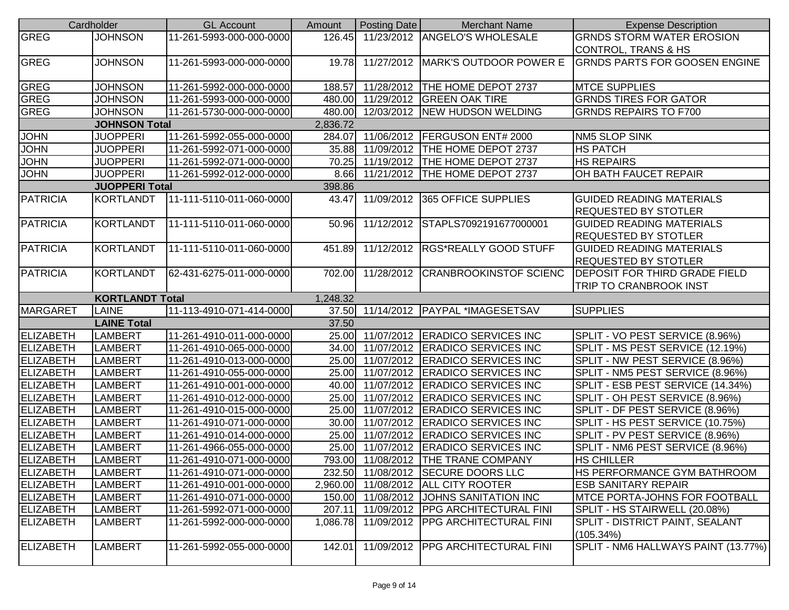|                  | Cardholder             | <b>GL Account</b>        | Amount   | Posting Date | <b>Merchant Name</b>                    | <b>Expense Description</b>           |
|------------------|------------------------|--------------------------|----------|--------------|-----------------------------------------|--------------------------------------|
| <b>GREG</b>      | <b>JOHNSON</b>         | 11-261-5993-000-000-0000 | 126.45   |              | 11/23/2012 ANGELO'S WHOLESALE           | <b>GRNDS STORM WATER EROSION</b>     |
|                  |                        |                          |          |              |                                         | <b>CONTROL, TRANS &amp; HS</b>       |
| GREG             | <b>JOHNSON</b>         | 11-261-5993-000-000-0000 | 19.78    |              | 11/27/2012   MARK'S OUTDOOR POWER E     | <b>GRNDS PARTS FOR GOOSEN ENGINE</b> |
|                  |                        |                          |          |              |                                         |                                      |
| <b>GREG</b>      | <b>JOHNSON</b>         | 11-261-5992-000-000-0000 | 188.57   |              | 11/28/2012   THE HOME DEPOT 2737        | <b>MTCE SUPPLIES</b>                 |
| <b>GREG</b>      | <b>JOHNSON</b>         | 11-261-5993-000-000-0000 |          |              | 480.00 11/29/2012 GREEN OAK TIRE        | <b>GRNDS TIRES FOR GATOR</b>         |
| <b>GREG</b>      | <b>JOHNSON</b>         | 11-261-5730-000-000-0000 |          |              | 480.00 12/03/2012 NEW HUDSON WELDING    | <b>GRNDS REPAIRS TO F700</b>         |
|                  | <b>JOHNSON Total</b>   |                          | 2,836.72 |              |                                         |                                      |
| <b>JOHN</b>      | <b>JUOPPERI</b>        | 11-261-5992-055-000-0000 | 284.07   |              | 11/06/2012   FERGUSON ENT# 2000         | <b>NM5 SLOP SINK</b>                 |
| <b>JOHN</b>      | <b>JUOPPERI</b>        | 11-261-5992-071-000-0000 | 35.88    |              | 11/09/2012 THE HOME DEPOT 2737          | <b>HS PATCH</b>                      |
| <b>JOHN</b>      | <b>JUOPPERI</b>        | 11-261-5992-071-000-0000 | 70.25    |              | 11/19/2012   THE HOME DEPOT 2737        | <b>HS REPAIRS</b>                    |
| <b>JOHN</b>      | <b>JUOPPERI</b>        | 11-261-5992-012-000-0000 | 8.66     |              | 11/21/2012   THE HOME DEPOT 2737        | OH BATH FAUCET REPAIR                |
|                  | <b>JUOPPERI Total</b>  |                          | 398.86   |              |                                         |                                      |
| <b>PATRICIA</b>  | <b>KORTLANDT</b>       | 11-111-5110-011-060-0000 | 43.47    |              | 11/09/2012 365 OFFICE SUPPLIES          | <b>GUIDED READING MATERIALS</b>      |
|                  |                        |                          |          |              |                                         | <b>REQUESTED BY STOTLER</b>          |
| <b>PATRICIA</b>  | <b>KORTLANDT</b>       | 11-111-5110-011-060-0000 | 50.96    |              | 11/12/2012 STAPLS7092191677000001       | <b>GUIDED READING MATERIALS</b>      |
|                  |                        |                          |          |              |                                         | <b>REQUESTED BY STOTLER</b>          |
| <b>PATRICIA</b>  | <b>KORTLANDT</b>       | 11-111-5110-011-060-0000 | 451.89   |              | 11/12/2012 RGS*REALLY GOOD STUFF        | <b>GUIDED READING MATERIALS</b>      |
|                  |                        |                          |          |              |                                         | <b>REQUESTED BY STOTLER</b>          |
| <b>PATRICIA</b>  | <b>KORTLANDT</b>       | 62-431-6275-011-000-0000 | 702.00   |              | 11/28/2012 CRANBROOKINSTOF SCIENC       | <b>DEPOSIT FOR THIRD GRADE FIELD</b> |
|                  |                        |                          |          |              |                                         | TRIP TO CRANBROOK INST               |
|                  |                        |                          |          |              |                                         |                                      |
|                  | <b>KORTLANDT Total</b> |                          | 1,248.32 |              |                                         |                                      |
| <b>MARGARET</b>  | <b>LAINE</b>           | 11-113-4910-071-414-0000 |          |              | 37.50 11/14/2012 PAYPAL *IMAGESETSAV    | <b>SUPPLIES</b>                      |
|                  | <b>LAINE Total</b>     |                          | 37.50    |              |                                         |                                      |
| <b>ELIZABETH</b> | <b>LAMBERT</b>         | 11-261-4910-011-000-0000 | 25.00    |              | 11/07/2012 ERADICO SERVICES INC         | SPLIT - VO PEST SERVICE (8.96%)      |
| <b>ELIZABETH</b> | <b>LAMBERT</b>         | 11-261-4910-065-000-0000 | 34.00    |              | 11/07/2012 ERADICO SERVICES INC         | SPLIT - MS PEST SERVICE (12.19%)     |
| <b>ELIZABETH</b> | <b>LAMBERT</b>         | 11-261-4910-013-000-0000 | 25.00    |              | 11/07/2012 ERADICO SERVICES INC         | SPLIT - NW PEST SERVICE (8.96%)      |
| <b>ELIZABETH</b> | <b>LAMBERT</b>         | 11-261-4910-055-000-0000 | 25.00    |              | 11/07/2012 ERADICO SERVICES INC         | SPLIT - NM5 PEST SERVICE (8.96%)     |
| <b>ELIZABETH</b> | <b>LAMBERT</b>         | 11-261-4910-001-000-0000 | 40.00    |              | 11/07/2012 ERADICO SERVICES INC         | SPLIT - ESB PEST SERVICE (14.34%)    |
| <b>ELIZABETH</b> | <b>LAMBERT</b>         | 11-261-4910-012-000-0000 | 25.00    |              | 11/07/2012 ERADICO SERVICES INC         | SPLIT - OH PEST SERVICE (8.96%)      |
| <b>ELIZABETH</b> | <b>LAMBERT</b>         | 11-261-4910-015-000-0000 | 25.00    |              | 11/07/2012 ERADICO SERVICES INC         | SPLIT - DF PEST SERVICE (8.96%)      |
| <b>ELIZABETH</b> | <b>LAMBERT</b>         | 11-261-4910-071-000-0000 | 30.00    |              | 11/07/2012 ERADICO SERVICES INC         | SPLIT - HS PEST SERVICE (10.75%)     |
| <b>ELIZABETH</b> | <b>LAMBERT</b>         | 11-261-4910-014-000-0000 | 25.00    |              | 11/07/2012 ERADICO SERVICES INC         | SPLIT - PV PEST SERVICE (8.96%)      |
| <b>ELIZABETH</b> | <b>LAMBERT</b>         | 11-261-4966-055-000-0000 | 25.00    |              | 11/07/2012 ERADICO SERVICES INC         | SPLIT - NM6 PEST SERVICE (8.96%)     |
| <b>ELIZABETH</b> | <b>LAMBERT</b>         | 11-261-4910-071-000-0000 |          |              | 793.00 11/08/2012 THE TRANE COMPANY     | <b>HS CHILLER</b>                    |
| ELIZABETH        | <b>LAMBERT</b>         | 11-261-4910-071-000-0000 |          |              | 232.50 11/08/2012 SECURE DOORS LLC      | <b>HS PERFORMANCE GYM BATHROOM</b>   |
| <b>ELIZABETH</b> | <b>LAMBERT</b>         | 11-261-4910-001-000-0000 | 2,960.00 |              | 11/08/2012   ALL CITY ROOTER            | <b>ESB SANITARY REPAIR</b>           |
| ELIZABETH        | <b>LAMBERT</b>         | 11-261-4910-071-000-0000 |          |              | 150.00 11/08/2012 JJOHNS SANITATION INC | MTCE PORTA-JOHNS FOR FOOTBALL        |
| ELIZABETH        | LAMBERT                | 11-261-5992-071-000-0000 | 207.11   |              | 11/09/2012 PPG ARCHITECTURAL FINI       | SPLIT - HS STAIRWELL (20.08%)        |
| ELIZABETH        | LAMBERT                | 11-261-5992-000-000-0000 | 1,086.78 |              | 11/09/2012   PPG ARCHITECTURAL FINI     | SPLIT - DISTRICT PAINT, SEALANT      |
|                  |                        |                          |          |              |                                         | (105.34%)                            |
| ELIZABETH        | LAMBERT                | 11-261-5992-055-000-0000 | 142.01   |              | 11/09/2012   PPG ARCHITECTURAL FINI     | SPLIT - NM6 HALLWAYS PAINT (13.77%)  |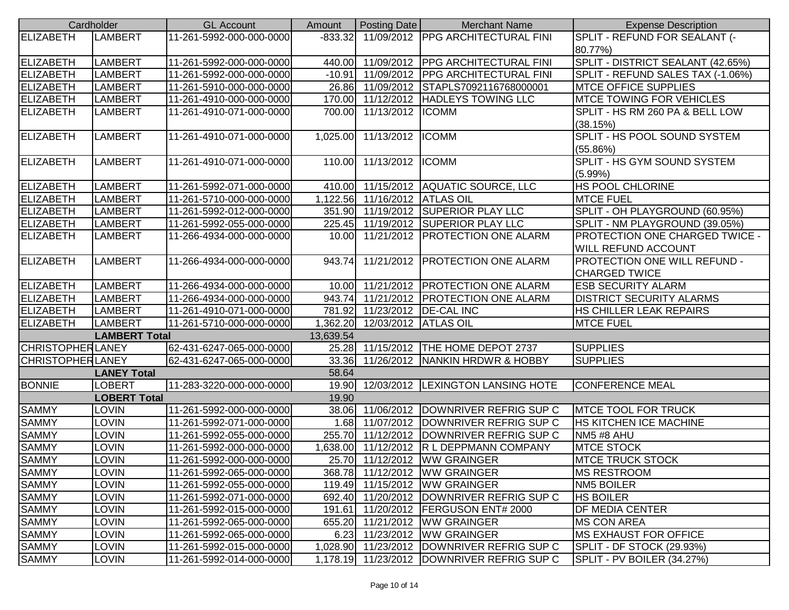|                         | Cardholder           | <b>GL Account</b>        | Amount    | <b>Posting Date</b>  | <b>Merchant Name</b>                       | <b>Expense Description</b>        |
|-------------------------|----------------------|--------------------------|-----------|----------------------|--------------------------------------------|-----------------------------------|
| <b>ELIZABETH</b>        | <b>LAMBERT</b>       | 11-261-5992-000-000-0000 | $-833.32$ |                      | 11/09/2012 PPG ARCHITECTURAL FINI          | SPLIT - REFUND FOR SEALANT (-     |
|                         |                      |                          |           |                      |                                            | 80.77%)                           |
| ELIZABETH               | <b>LAMBERT</b>       | 11-261-5992-000-000-0000 | 440.00    |                      | 11/09/2012   PPG ARCHITECTURAL FINI        | SPLIT - DISTRICT SEALANT (42.65%) |
| ELIZABETH               | <b>LAMBERT</b>       | 11-261-5992-000-000-0000 | $-10.91$  |                      | 11/09/2012   PPG ARCHITECTURAL FINI        | SPLIT - REFUND SALES TAX (-1.06%) |
| ELIZABETH               | <b>LAMBERT</b>       | 11-261-5910-000-000-0000 |           |                      | 26.86 11/09/2012 STAPLS7092116768000001    | <b>MTCE OFFICE SUPPLIES</b>       |
| ELIZABETH               | <b>LAMBERT</b>       | 11-261-4910-000-000-0000 |           |                      | 170.00 11/12/2012 HADLEYS TOWING LLC       | <b>MTCE TOWING FOR VEHICLES</b>   |
| <b>ELIZABETH</b>        | <b>LAMBERT</b>       | 11-261-4910-071-000-0000 | 700.00    | 11/13/2012   ICOMM   |                                            | SPLIT - HS RM 260 PA & BELL LOW   |
|                         |                      |                          |           |                      |                                            | (38.15%)                          |
| ELIZABETH               | <b>LAMBERT</b>       | 11-261-4910-071-000-0000 | 1,025.00  | 11/13/2012 ICOMM     |                                            | SPLIT - HS POOL SOUND SYSTEM      |
|                         |                      |                          |           |                      |                                            | (55.86%)                          |
| <b>ELIZABETH</b>        | <b>LAMBERT</b>       | 11-261-4910-071-000-0000 | 110.00    | 11/13/2012 ICOMM     |                                            | SPLIT - HS GYM SOUND SYSTEM       |
|                         |                      |                          |           |                      |                                            | (5.99%)                           |
| ELIZABETH               | LAMBERT              | 11-261-5992-071-000-0000 | 410.00    |                      | 11/15/2012 AQUATIC SOURCE, LLC             | HS POOL CHLORINE                  |
| ELIZABETH               | <b>LAMBERT</b>       | 11-261-5710-000-000-0000 | 1,122.56  | 11/16/2012 ATLAS OIL |                                            | <b>MTCE FUEL</b>                  |
| ELIZABETH               | <b>LAMBERT</b>       | 11-261-5992-012-000-0000 | 351.90    |                      | 11/19/2012 SUPERIOR PLAY LLC               | SPLIT - OH PLAYGROUND (60.95%)    |
| ELIZABETH               | <b>LAMBERT</b>       | 11-261-5992-055-000-0000 | 225.45    |                      | 11/19/2012 SUPERIOR PLAY LLC               | SPLIT - NM PLAYGROUND (39.05%)    |
| <b>ELIZABETH</b>        | <b>LAMBERT</b>       | 11-266-4934-000-000-0000 | 10.00     |                      | 11/21/2012   PROTECTION ONE ALARM          | PROTECTION ONE CHARGED TWICE -    |
|                         |                      |                          |           |                      |                                            | <b>WILL REFUND ACCOUNT</b>        |
| ELIZABETH               | <b>LAMBERT</b>       | 11-266-4934-000-000-0000 | 943.74    |                      | 11/21/2012 PROTECTION ONE ALARM            | PROTECTION ONE WILL REFUND -      |
|                         |                      |                          |           |                      |                                            | <b>CHARGED TWICE</b>              |
| ELIZABETH               | <b>LAMBERT</b>       | 11-266-4934-000-000-0000 |           |                      | 10.00 11/21/2012 PROTECTION ONE ALARM      | <b>ESB SECURITY ALARM</b>         |
| <b>ELIZABETH</b>        | <b>LAMBERT</b>       | 11-266-4934-000-000-0000 | 943.74    |                      | 11/21/2012   PROTECTION ONE ALARM          | <b>DISTRICT SECURITY ALARMS</b>   |
| ELIZABETH               | <b>LAMBERT</b>       | 11-261-4910-071-000-0000 | 781.92    |                      | 11/23/2012   DE-CAL INC                    | HS CHILLER LEAK REPAIRS           |
| <b>ELIZABETH</b>        | <b>LAMBERT</b>       | 11-261-5710-000-000-0000 | 1,362.20  | 12/03/2012 ATLAS OIL |                                            | <b>MTCE FUEL</b>                  |
|                         | <b>LAMBERT Total</b> |                          | 13,639.54 |                      |                                            |                                   |
| <b>CHRISTOPHERLANEY</b> |                      | 62-431-6247-065-000-0000 | 25.28     |                      | 11/15/2012   THE HOME DEPOT 2737           | <b>SUPPLIES</b>                   |
| <b>CHRISTOPHERLANEY</b> |                      | 62-431-6247-065-000-0000 | 33.36     |                      | 11/26/2012 NANKIN HRDWR & HOBBY            | <b>SUPPLIES</b>                   |
|                         | <b>LANEY Total</b>   |                          | 58.64     |                      |                                            |                                   |
| <b>BONNIE</b>           | <b>LOBERT</b>        | 11-283-3220-000-000-0000 | 19.90     |                      | 12/03/2012  LEXINGTON LANSING HOTE         | <b>CONFERENCE MEAL</b>            |
|                         | <b>LOBERT Total</b>  |                          | 19.90     |                      |                                            |                                   |
| <b>SAMMY</b>            | <b>LOVIN</b>         | 11-261-5992-000-000-0000 | 38.06     |                      | 11/06/2012 DOWNRIVER REFRIG SUP C          | <b>MTCE TOOL FOR TRUCK</b>        |
| <b>SAMMY</b>            | <b>LOVIN</b>         | 11-261-5992-071-000-0000 |           |                      | 1.68 11/07/2012 DOWNRIVER REFRIG SUP C     | <b>HS KITCHEN ICE MACHINE</b>     |
| <b>SAMMY</b>            | <b>LOVIN</b>         | 11-261-5992-055-000-0000 |           |                      | 255.70 11/12/2012 DOWNRIVER REFRIG SUP C   | NM5 #8 AHU                        |
| <b>SAMMY</b>            | <b>LOVIN</b>         | 11-261-5992-000-000-0000 | 1,638.00  |                      | 11/12/2012 R L DEPPMANN COMPANY            | <b>MTCE STOCK</b>                 |
| <b>SAMMY</b>            | <b>LOVIN</b>         | 11-261-5992-000-000-0000 |           |                      | 25.70 11/12/2012 WW GRAINGER               | <b>IMTCE TRUCK STOCK</b>          |
| <b>SAMMY</b>            | <b>LOVIN</b>         | 11-261-5992-065-000-0000 |           |                      | 368.78 11/12/2012 WW GRAINGER              | <b>MS RESTROOM</b>                |
| <b>SAMMY</b>            | LOVIN                | 11-261-5992-055-000-0000 |           |                      | 119.49 11/15/2012 WW GRAINGER              | <b>NM5 BOILER</b>                 |
| <b>SAMMY</b>            | LOVIN                | 11-261-5992-071-000-0000 |           |                      | 692.40 11/20/2012 DOWNRIVER REFRIG SUP C   | <b>HS BOILER</b>                  |
| <b>SAMMY</b>            | LOVIN                | 11-261-5992-015-000-0000 | 191.61    |                      | 11/20/2012   FERGUSON ENT# 2000            | <b>DF MEDIA CENTER</b>            |
| <b>SAMMY</b>            | LOVIN                | 11-261-5992-065-000-0000 | 655.20    |                      | 11/21/2012   WW GRAINGER                   | <b>MS CON AREA</b>                |
| <b>SAMMY</b>            | LOVIN                | 11-261-5992-065-000-0000 | 6.23      |                      | 11/23/2012   WW GRAINGER                   | <b>IMS EXHAUST FOR OFFICE</b>     |
| <b>SAMMY</b>            | LOVIN                | 11-261-5992-015-000-0000 |           |                      | 1,028.90 11/23/2012 DOWNRIVER REFRIG SUP C | SPLIT - DF STOCK (29.93%)         |
| <b>SAMMY</b>            | LOVIN                | 11-261-5992-014-000-0000 |           |                      | 1,178.19 11/23/2012 DOWNRIVER REFRIG SUP C | SPLIT - PV BOILER (34.27%)        |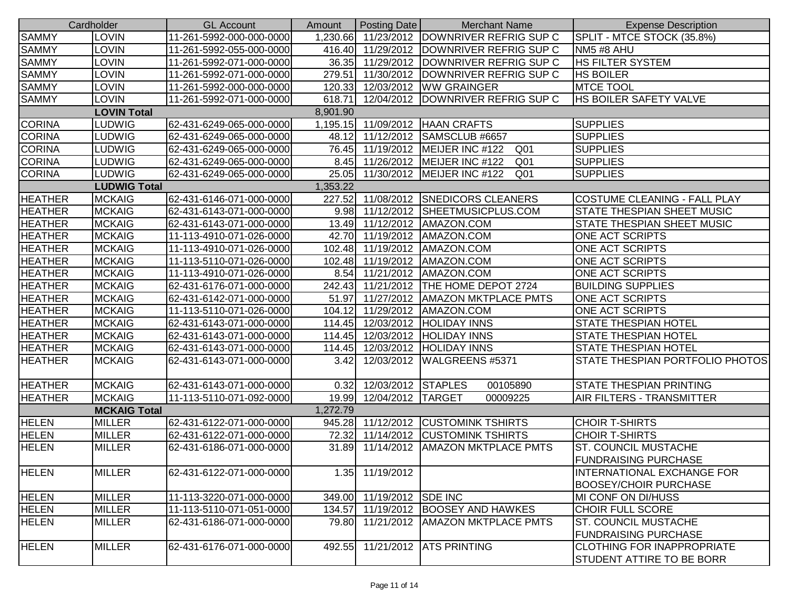|                | Cardholder          | <b>GL Account</b>        | Amount   | Posting Date       | <b>Merchant Name</b>                               | <b>Expense Description</b>        |
|----------------|---------------------|--------------------------|----------|--------------------|----------------------------------------------------|-----------------------------------|
| <b>SAMMY</b>   | <b>LOVIN</b>        | 11-261-5992-000-000-0000 |          |                    | 1,230.66 11/23/2012 DOWNRIVER REFRIG SUP C         | SPLIT - MTCE STOCK (35.8%)        |
| <b>SAMMY</b>   | LOVIN               | 11-261-5992-055-000-0000 |          |                    | 416.40 11/29/2012 DOWNRIVER REFRIG SUP C           | NM5 #8 AHU                        |
| <b>SAMMY</b>   | <b>LOVIN</b>        | 11-261-5992-071-000-0000 | 36.35    |                    | 11/29/2012   DOWNRIVER REFRIG SUP C                | <b>HS FILTER SYSTEM</b>           |
| <b>SAMMY</b>   | <b>LOVIN</b>        | 11-261-5992-071-000-0000 | 279.51   |                    | 11/30/2012   DOWNRIVER REFRIG SUP C                | <b>HS BOILER</b>                  |
| <b>SAMMY</b>   | <b>LOVIN</b>        | 11-261-5992-000-000-0000 | 120.33   |                    | 12/03/2012   WW GRAINGER                           | <b>MTCE TOOL</b>                  |
| <b>SAMMY</b>   | <b>LOVIN</b>        | 11-261-5992-071-000-0000 | 618.71   |                    | 12/04/2012 DOWNRIVER REFRIG SUP C                  | <b>HS BOILER SAFETY VALVE</b>     |
|                | <b>LOVIN Total</b>  |                          | 8,901.90 |                    |                                                    |                                   |
| <b>CORINA</b>  | LUDWIG              | 62-431-6249-065-000-0000 |          |                    | 1,195.15 11/09/2012 HAAN CRAFTS                    | <b>SUPPLIES</b>                   |
| <b>CORINA</b>  | <b>LUDWIG</b>       | 62-431-6249-065-000-0000 | 48.12    |                    | 11/12/2012 SAMSCLUB #6657                          | <b>SUPPLIES</b>                   |
| <b>CORINA</b>  | <b>LUDWIG</b>       | 62-431-6249-065-000-0000 | 76.45    |                    | 11/19/2012   MEIJER INC #122<br>Q <sub>01</sub>    | <b>SUPPLIES</b>                   |
| <b>CORINA</b>  | <b>LUDWIG</b>       | 62-431-6249-065-000-0000 |          |                    | 8.45 11/26/2012 MEIJER INC #122<br>Q <sub>01</sub> | <b>SUPPLIES</b>                   |
| <b>CORINA</b>  | <b>LUDWIG</b>       | 62-431-6249-065-000-0000 | 25.05    |                    | 11/30/2012   MEIJER INC #122<br>Q <sub>01</sub>    | <b>SUPPLIES</b>                   |
|                | <b>LUDWIG Total</b> |                          | 1,353.22 |                    |                                                    |                                   |
| <b>HEATHER</b> | <b>MCKAIG</b>       | 62-431-6146-071-000-0000 | 227.52   |                    | 11/08/2012 SNEDICORS CLEANERS                      | COSTUME CLEANING - FALL PLAY      |
| <b>HEATHER</b> | <b>MCKAIG</b>       | 62-431-6143-071-000-0000 | 9.98     |                    | 11/12/2012 SHEETMUSICPLUS.COM                      | STATE THESPIAN SHEET MUSIC        |
| <b>HEATHER</b> | <b>MCKAIG</b>       | 62-431-6143-071-000-0000 | 13.49    |                    | 11/12/2012   AMAZON.COM                            | <b>STATE THESPIAN SHEET MUSIC</b> |
| <b>HEATHER</b> | <b>MCKAIG</b>       | 11-113-4910-071-026-0000 |          |                    | 42.70 11/19/2012 AMAZON.COM                        | <b>ONE ACT SCRIPTS</b>            |
| <b>HEATHER</b> | <b>MCKAIG</b>       | 11-113-4910-071-026-0000 | 102.48   |                    | 11/19/2012   AMAZON.COM                            | <b>ONE ACT SCRIPTS</b>            |
| <b>HEATHER</b> | <b>MCKAIG</b>       | 11-113-5110-071-026-0000 | 102.48   |                    | 11/19/2012   AMAZON.COM                            | <b>ONE ACT SCRIPTS</b>            |
| <b>HEATHER</b> | <b>MCKAIG</b>       | 11-113-4910-071-026-0000 |          |                    | 8.54 11/21/2012 AMAZON.COM                         | <b>ONE ACT SCRIPTS</b>            |
| <b>HEATHER</b> | <b>MCKAIG</b>       | 62-431-6176-071-000-0000 |          |                    | 242.43 11/21/2012 THE HOME DEPOT 2724              | <b>BUILDING SUPPLIES</b>          |
| <b>HEATHER</b> | <b>MCKAIG</b>       | 62-431-6142-071-000-0000 | 51.97    |                    | 11/27/2012   AMAZON MKTPLACE PMTS                  | <b>ONE ACT SCRIPTS</b>            |
| <b>HEATHER</b> | <b>MCKAIG</b>       | 11-113-5110-071-026-0000 | 104.12   |                    | 11/29/2012   AMAZON.COM                            | <b>ONE ACT SCRIPTS</b>            |
| <b>HEATHER</b> | <b>MCKAIG</b>       | 62-431-6143-071-000-0000 | 114.45   |                    | 12/03/2012 HOLIDAY INNS                            | <b>STATE THESPIAN HOTEL</b>       |
| <b>HEATHER</b> | <b>MCKAIG</b>       | 62-431-6143-071-000-0000 | 114.45   |                    | 12/03/2012 HOLIDAY INNS                            | STATE THESPIAN HOTEL              |
| <b>HEATHER</b> | <b>MCKAIG</b>       | 62-431-6143-071-000-0000 | 114.45   |                    | 12/03/2012 HOLIDAY INNS                            | STATE THESPIAN HOTEL              |
| <b>HEATHER</b> | <b>MCKAIG</b>       | 62-431-6143-071-000-0000 | 3.42     | 12/03/2012         | WALGREENS #5371                                    | STATE THESPIAN PORTFOLIO PHOTOS   |
|                |                     |                          |          |                    |                                                    |                                   |
| <b>HEATHER</b> | <b>MCKAIG</b>       | 62-431-6143-071-000-0000 | 0.32     | 12/03/2012 STAPLES | 00105890                                           | <b>STATE THESPIAN PRINTING</b>    |
| <b>HEATHER</b> | <b>MCKAIG</b>       | 11-113-5110-071-092-0000 | 19.99    | 12/04/2012 TARGET  | 00009225                                           | <b>AIR FILTERS - TRANSMITTER</b>  |
|                | <b>MCKAIG Total</b> |                          | 1,272.79 |                    |                                                    |                                   |
| <b>HELEN</b>   | <b>MILLER</b>       | 62-431-6122-071-000-0000 | 945.28   |                    | 11/12/2012 CUSTOMINK TSHIRTS                       | <b>CHOIR T-SHIRTS</b>             |
| <b>HELEN</b>   | <b>MILLER</b>       | 62-431-6122-071-000-0000 | 72.32    |                    | 11/14/2012 CUSTOMINK TSHIRTS                       | <b>CHOIR T-SHIRTS</b>             |
| <b>HELEN</b>   | <b>MILLER</b>       | 62-431-6186-071-000-0000 | 31.89    | 11/14/2012         | <b>AMAZON MKTPLACE PMTS</b>                        | <b>ST. COUNCIL MUSTACHE</b>       |
|                |                     |                          |          |                    |                                                    | <b>FUNDRAISING PURCHASE</b>       |
| <b>HELEN</b>   | <b>MILLER</b>       | 62-431-6122-071-000-0000 |          | 1.35 11/19/2012    |                                                    | <b>INTERNATIONAL EXCHANGE FOR</b> |
|                |                     |                          |          |                    |                                                    | <b>BOOSEY/CHOIR PURCHASE</b>      |
| <b>HELEN</b>   | <b>MILLER</b>       | 11-113-3220-071-000-0000 | 349.00   | 11/19/2012 SDE INC |                                                    | MI CONF ON DI/HUSS                |
| <b>HELEN</b>   | <b>MILLER</b>       | 11-113-5110-071-051-0000 | 134.57   |                    | 11/19/2012 BOOSEY AND HAWKES                       | <b>CHOIR FULL SCORE</b>           |
| <b>HELEN</b>   | <b>MILLER</b>       | 62-431-6186-071-000-0000 | 79.80    |                    | 11/21/2012   AMAZON MKTPLACE PMTS                  | <b>ST. COUNCIL MUSTACHE</b>       |
|                |                     |                          |          |                    |                                                    | <b>FUNDRAISING PURCHASE</b>       |
| <b>HELEN</b>   | <b>MILLER</b>       | 62-431-6176-071-000-0000 | 492.55   |                    | 11/21/2012 ATS PRINTING                            | <b>CLOTHING FOR INAPPROPRIATE</b> |
|                |                     |                          |          |                    |                                                    | <b>STUDENT ATTIRE TO BE BORR</b>  |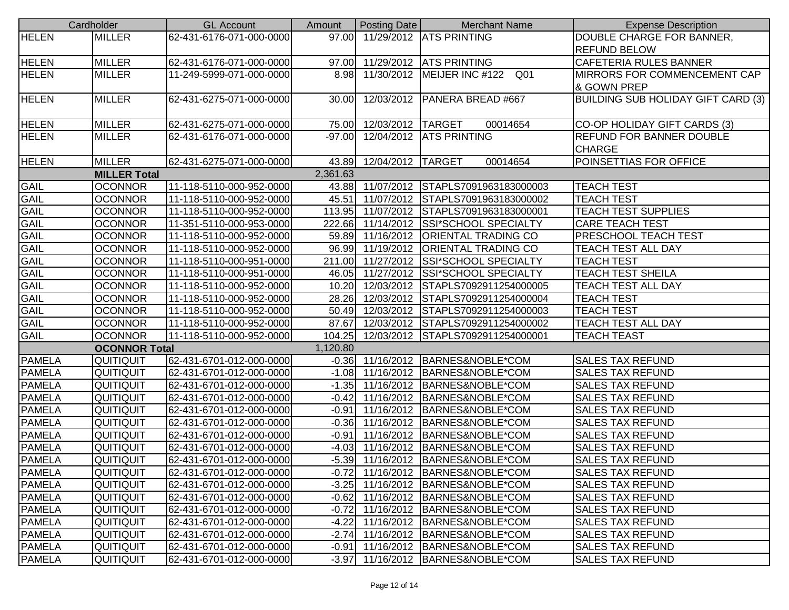|               | Cardholder           | <b>GL Account</b>        | Amount   | Posting Date        | <b>Merchant Name</b>                    | <b>Expense Description</b>                |
|---------------|----------------------|--------------------------|----------|---------------------|-----------------------------------------|-------------------------------------------|
| <b>HELEN</b>  | <b>MILLER</b>        | 62-431-6176-071-000-0000 |          |                     | 97.00 11/29/2012 ATS PRINTING           | DOUBLE CHARGE FOR BANNER,                 |
|               |                      |                          |          |                     |                                         | <b>REFUND BELOW</b>                       |
| <b>HELEN</b>  | <b>MILLER</b>        | 62-431-6176-071-000-0000 |          |                     | 97.00 11/29/2012 ATS PRINTING           | <b>CAFETERIA RULES BANNER</b>             |
| <b>HELEN</b>  | <b>MILLER</b>        | 11-249-5999-071-000-0000 |          |                     | 8.98 11/30/2012 MEIJER INC #122<br>Q01  | MIRRORS FOR COMMENCEMENT CAP              |
|               |                      |                          |          |                     |                                         | & GOWN PREP                               |
| <b>HELEN</b>  | <b>MILLER</b>        | 62-431-6275-071-000-0000 | 30.00    |                     | 12/03/2012   PANERA BREAD #667          | <b>BUILDING SUB HOLIDAY GIFT CARD (3)</b> |
|               |                      |                          |          |                     |                                         |                                           |
| <b>HELEN</b>  | <b>MILLER</b>        | 62-431-6275-071-000-0000 | 75.00    | 12/03/2012   TARGET | 00014654                                | CO-OP HOLIDAY GIFT CARDS (3)              |
| <b>HELEN</b>  | <b>MILLER</b>        | 62-431-6176-071-000-0000 | $-97.00$ |                     | 12/04/2012 ATS PRINTING                 | <b>REFUND FOR BANNER DOUBLE</b>           |
|               |                      |                          |          |                     |                                         | <b>CHARGE</b>                             |
| <b>HELEN</b>  | <b>MILLER</b>        | 62-431-6275-071-000-0000 | 43.89    | 12/04/2012 TARGET   | 00014654                                | POINSETTIAS FOR OFFICE                    |
|               | <b>MILLER Total</b>  |                          | 2,361.63 |                     |                                         |                                           |
| <b>GAIL</b>   | <b>OCONNOR</b>       | 11-118-5110-000-952-0000 |          |                     | 43.88 11/07/2012 STAPLS7091963183000003 | <b>TEACH TEST</b>                         |
| <b>GAIL</b>   | <b>OCONNOR</b>       | 11-118-5110-000-952-0000 | 45.51    |                     | 11/07/2012 STAPLS7091963183000002       | <b>TEACH TEST</b>                         |
| <b>GAIL</b>   | <b>OCONNOR</b>       | 11-118-5110-000-952-0000 | 113.95   |                     | 11/07/2012 STAPLS7091963183000001       | <b>TEACH TEST SUPPLIES</b>                |
| <b>GAIL</b>   | <b>OCONNOR</b>       | 11-351-5110-000-953-0000 |          |                     | 222.66 11/14/2012 SSI*SCHOOL SPECIALTY  | <b>CARE TEACH TEST</b>                    |
| GAIL          | <b>OCONNOR</b>       | 11-118-5110-000-952-0000 |          |                     | 59.89 11/16/2012 ORIENTAL TRADING CO    | <b>PRESCHOOL TEACH TEST</b>               |
| <b>GAIL</b>   | <b>OCONNOR</b>       | 11-118-5110-000-952-0000 |          |                     | 96.99 11/19/2012 ORIENTAL TRADING CO    | <b>TEACH TEST ALL DAY</b>                 |
| <b>GAIL</b>   | <b>OCONNOR</b>       | 11-118-5110-000-951-0000 |          |                     | 211.00 11/27/2012 SSI*SCHOOL SPECIALTY  | <b>TEACH TEST</b>                         |
| <b>GAIL</b>   | <b>OCONNOR</b>       | 11-118-5110-000-951-0000 |          |                     | 46.05 11/27/2012 SSI*SCHOOL SPECIALTY   | <b>TEACH TEST SHEILA</b>                  |
| <b>GAIL</b>   | <b>OCONNOR</b>       | 11-118-5110-000-952-0000 |          |                     | 10.20 12/03/2012 STAPLS7092911254000005 | TEACH TEST ALL DAY                        |
| GAIL          | <b>OCONNOR</b>       | 11-118-5110-000-952-0000 | 28.26    |                     | 12/03/2012 STAPLS7092911254000004       | <b>TEACH TEST</b>                         |
| <b>GAIL</b>   | <b>OCONNOR</b>       | 11-118-5110-000-952-0000 | 50.49    |                     | 12/03/2012 STAPLS7092911254000003       | <b>TEACH TEST</b>                         |
| <b>GAIL</b>   | <b>OCONNOR</b>       | 11-118-5110-000-952-0000 | 87.67    |                     | 12/03/2012 STAPLS7092911254000002       | TEACH TEST ALL DAY                        |
| <b>GAIL</b>   | <b>OCONNOR</b>       | 11-118-5110-000-952-0000 | 104.25   |                     | 12/03/2012 STAPLS7092911254000001       | TEACH TEAST                               |
|               | <b>OCONNOR Total</b> |                          | 1,120.80 |                     |                                         |                                           |
| <b>PAMELA</b> | QUITIQUIT            | 62-431-6701-012-000-0000 |          |                     | -0.36 11/16/2012 BARNES&NOBLE*COM       | <b>SALES TAX REFUND</b>                   |
| <b>PAMELA</b> | QUITIQUIT            | 62-431-6701-012-000-0000 |          |                     | -1.08 11/16/2012 BARNES&NOBLE*COM       | <b>SALES TAX REFUND</b>                   |
| <b>PAMELA</b> | <b>QUITIQUIT</b>     | 62-431-6701-012-000-0000 |          |                     | -1.35 11/16/2012 BARNES&NOBLE*COM       | <b>SALES TAX REFUND</b>                   |
| <b>PAMELA</b> | <b>QUITIQUIT</b>     | 62-431-6701-012-000-0000 | $-0.42$  |                     | 11/16/2012 BARNES&NOBLE*COM             | <b>SALES TAX REFUND</b>                   |
| <b>PAMELA</b> | QUITIQUIT            | 62-431-6701-012-000-0000 | $-0.91$  |                     | 11/16/2012 BARNES&NOBLE*COM             | <b>SALES TAX REFUND</b>                   |
| PAMELA        | QUITIQUIT            | 62-431-6701-012-000-0000 | $-0.36$  |                     | 11/16/2012 BARNES&NOBLE*COM             | <b>SALES TAX REFUND</b>                   |
| <b>PAMELA</b> | QUITIQUIT            | 62-431-6701-012-000-0000 | $-0.91$  |                     | 11/16/2012 BARNES&NOBLE*COM             | <b>SALES TAX REFUND</b>                   |
| <b>PAMELA</b> | QUITIQUIT            | 62-431-6701-012-000-0000 | $-4.03$  |                     | 11/16/2012 BARNES&NOBLE*COM             | <b>SALES TAX REFUND</b>                   |
| <b>PAMELA</b> | QUITIQUIT            | 62-431-6701-012-000-0000 |          |                     | -5.39 11/16/2012 BARNES&NOBLE*COM       | <b>SALES TAX REFUND</b>                   |
| <b>PAMELA</b> | QUITIQUIT            | 62-431-6701-012-000-0000 |          |                     | -0.72 11/16/2012 BARNES&NOBLE*COM       | <b>SALES TAX REFUND</b>                   |
| <b>PAMELA</b> | QUITIQUIT            | 62-431-6701-012-000-0000 | $-3.25$  |                     | 11/16/2012 BARNES&NOBLE*COM             | <b>SALES TAX REFUND</b>                   |
| <b>PAMELA</b> | QUITIQUIT            | 62-431-6701-012-000-0000 |          |                     | -0.62 11/16/2012 BARNES&NOBLE*COM       | <b>SALES TAX REFUND</b>                   |
| <b>PAMELA</b> | QUITIQUIT            | 62-431-6701-012-000-0000 | $-0.72$  |                     | 11/16/2012   BARNES&NOBLE*COM           | <b>SALES TAX REFUND</b>                   |
| <b>PAMELA</b> | QUITIQUIT            | 62-431-6701-012-000-0000 | $-4.22$  |                     | 11/16/2012   BARNES&NOBLE*COM           | <b>SALES TAX REFUND</b>                   |
| <b>PAMELA</b> | QUITIQUIT            | 62-431-6701-012-000-0000 | $-2.74$  |                     | 11/16/2012 BARNES&NOBLE*COM             | <b>SALES TAX REFUND</b>                   |
| <b>PAMELA</b> | QUITIQUIT            | 62-431-6701-012-000-0000 | $-0.91$  |                     | 11/16/2012 BARNES&NOBLE*COM             | <b>SALES TAX REFUND</b>                   |
| <b>PAMELA</b> | QUITIQUIT            | 62-431-6701-012-000-0000 | $-3.97$  |                     | 11/16/2012 BARNES&NOBLE*COM             | <b>SALES TAX REFUND</b>                   |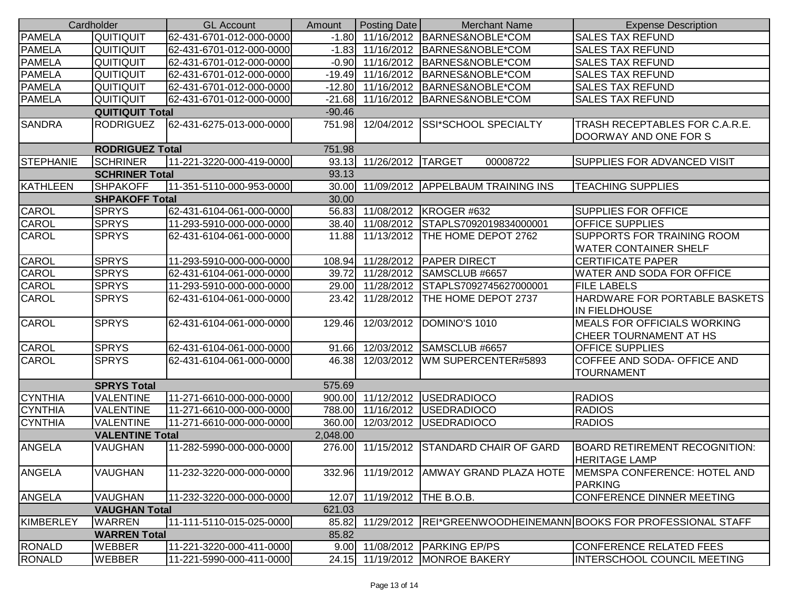| Cardholder             |                        | <b>GL Account</b>        | Amount   | Posting Date                | <b>Merchant Name</b>                    | <b>Expense Description</b>                                       |
|------------------------|------------------------|--------------------------|----------|-----------------------------|-----------------------------------------|------------------------------------------------------------------|
| <b>PAMELA</b>          | <b>QUITIQUIT</b>       | 62-431-6701-012-000-0000 |          |                             | -1.80 11/16/2012 BARNES&NOBLE*COM       | <b>SALES TAX REFUND</b>                                          |
| <b>PAMELA</b>          | QUITIQUIT              | 62-431-6701-012-000-0000 | $-1.83$  |                             | 11/16/2012 BARNES&NOBLE*COM             | <b>SALES TAX REFUND</b>                                          |
| <b>PAMELA</b>          | QUITIQUIT              | 62-431-6701-012-000-0000 |          |                             | -0.90 11/16/2012 BARNES&NOBLE*COM       | <b>SALES TAX REFUND</b>                                          |
| <b>PAMELA</b>          | <b>QUITIQUIT</b>       | 62-431-6701-012-000-0000 |          |                             | -19.49 11/16/2012 BARNES&NOBLE*COM      | <b>SALES TAX REFUND</b>                                          |
| <b>PAMELA</b>          | QUITIQUIT              | 62-431-6701-012-000-0000 |          |                             | -12.80 11/16/2012 BARNES&NOBLE*COM      | <b>SALES TAX REFUND</b>                                          |
| <b>PAMELA</b>          | QUITIQUIT              | 62-431-6701-012-000-0000 | $-21.68$ |                             | 11/16/2012 BARNES&NOBLE*COM             | <b>SALES TAX REFUND</b>                                          |
|                        | <b>QUITIQUIT Total</b> |                          | $-90.46$ |                             |                                         |                                                                  |
| <b>SANDRA</b>          | <b>RODRIGUEZ</b>       | 62-431-6275-013-000-0000 | 751.98   |                             | 12/04/2012 SSI*SCHOOL SPECIALTY         | TRASH RECEPTABLES FOR C.A.R.E.                                   |
|                        |                        |                          |          |                             |                                         | DOORWAY AND ONE FOR S                                            |
| <b>RODRIGUEZ Total</b> |                        |                          | 751.98   |                             |                                         |                                                                  |
| <b>STEPHANIE</b>       | <b>SCHRINER</b>        | 11-221-3220-000-419-0000 |          | 93.13 11/26/2012 TARGET     | 00008722                                | SUPPLIES FOR ADVANCED VISIT                                      |
|                        | <b>SCHRINER Total</b>  |                          | 93.13    |                             |                                         |                                                                  |
| KATHLEEN               | <b>SHPAKOFF</b>        | 11-351-5110-000-953-0000 |          |                             | 30.00 11/09/2012 APPELBAUM TRAINING INS | <b>TEACHING SUPPLIES</b>                                         |
|                        | <b>SHPAKOFF Total</b>  |                          | 30.00    |                             |                                         |                                                                  |
| CAROL                  | <b>SPRYS</b>           | 62-431-6104-061-000-0000 |          |                             | 56.83 11/08/2012 KROGER #632            | <b>SUPPLIES FOR OFFICE</b>                                       |
| <b>CAROL</b>           | <b>SPRYS</b>           | 11-293-5910-000-000-0000 |          |                             | 38.40 11/08/2012 STAPLS7092019834000001 | <b>OFFICE SUPPLIES</b>                                           |
| CAROL                  | <b>SPRYS</b>           | 62-431-6104-061-000-0000 | 11.88    |                             | 11/13/2012   THE HOME DEPOT 2762        | <b>SUPPORTS FOR TRAINING ROOM</b>                                |
|                        |                        |                          |          |                             |                                         | <b>WATER CONTAINER SHELF</b>                                     |
| CAROL                  | <b>SPRYS</b>           | 11-293-5910-000-000-0000 | 108.94   |                             | 11/28/2012   PAPER DIRECT               | <b>CERTIFICATE PAPER</b>                                         |
| CAROL                  | <b>SPRYS</b>           | 62-431-6104-061-000-0000 | 39.72    |                             | 11/28/2012 SAMSCLUB #6657               | WATER AND SODA FOR OFFICE                                        |
| CAROL                  | <b>SPRYS</b>           | 11-293-5910-000-000-0000 | 29.00    |                             | 11/28/2012 STAPLS7092745627000001       | <b>FILE LABELS</b>                                               |
| CAROL                  | <b>SPRYS</b>           | 62-431-6104-061-000-0000 | 23.42    |                             | 11/28/2012   THE HOME DEPOT 2737        | HARDWARE FOR PORTABLE BASKETS                                    |
|                        |                        |                          |          |                             |                                         | IN FIELDHOUSE                                                    |
| CAROL                  | <b>SPRYS</b>           | 62-431-6104-061-000-0000 | 129.46   |                             | 12/03/2012   DOMINO'S 1010              | <b>MEALS FOR OFFICIALS WORKING</b>                               |
|                        |                        |                          |          |                             |                                         | CHEER TOURNAMENT AT HS                                           |
| <b>CAROL</b>           | <b>SPRYS</b>           | 62-431-6104-061-000-0000 | 91.66    |                             | 12/03/2012 SAMSCLUB #6657               | <b>OFFICE SUPPLIES</b>                                           |
| <b>CAROL</b>           | <b>SPRYS</b>           | 62-431-6104-061-000-0000 | 46.38    |                             | 12/03/2012   WM SUPERCENTER#5893        | COFFEE AND SODA- OFFICE AND                                      |
|                        |                        |                          |          |                             |                                         | <b>TOURNAMENT</b>                                                |
|                        | <b>SPRYS Total</b>     |                          | 575.69   |                             |                                         |                                                                  |
| <b>CYNTHIA</b>         | <b>VALENTINE</b>       | 11-271-6610-000-000-0000 |          |                             | 900.00 11/12/2012 USEDRADIOCO           | <b>RADIOS</b>                                                    |
| <b>CYNTHIA</b>         | <b>VALENTINE</b>       | 11-271-6610-000-000-0000 | 788.00   |                             | 11/16/2012   USEDRADIOCO                | <b>RADIOS</b>                                                    |
| <b>CYNTHIA</b>         | <b>VALENTINE</b>       | 11-271-6610-000-000-0000 | 360.00   |                             | 12/03/2012   USEDRADIOCO                | <b>RADIOS</b>                                                    |
|                        | <b>VALENTINE Total</b> |                          | 2,048.00 |                             |                                         |                                                                  |
| <b>ANGELA</b>          | <b>VAUGHAN</b>         | 11-282-5990-000-000-0000 | 276.00   |                             | 11/15/2012 STANDARD CHAIR OF GARD       | <b>BOARD RETIREMENT RECOGNITION:</b>                             |
|                        |                        |                          |          |                             |                                         | <b>HERITAGE LAMP</b>                                             |
| <b>ANGELA</b>          | <b>VAUGHAN</b>         | 11-232-3220-000-000-0000 | 332.96   |                             |                                         | 11/19/2012 AMWAY GRAND PLAZA HOTE   MEMSPA CONFERENCE: HOTEL AND |
|                        |                        |                          |          |                             |                                         | <b>PARKING</b>                                                   |
| <b>ANGELA</b>          | <b>VAUGHAN</b>         | 11-232-3220-000-000-0000 |          | 12.07 11/19/2012 THE B.O.B. |                                         | CONFERENCE DINNER MEETING                                        |
|                        | <b>VAUGHAN Total</b>   |                          | 621.03   |                             |                                         |                                                                  |
| KIMBERLEY              | <b>WARREN</b>          | 11-111-5110-015-025-0000 | 85.82    |                             |                                         | 11/29/2012   REI*GREENWOODHEINEMANN BOOKS FOR PROFESSIONAL STAFF |
|                        | <b>WARREN Total</b>    |                          | 85.82    |                             |                                         |                                                                  |
| <b>RONALD</b>          | <b>WEBBER</b>          | 11-221-3220-000-411-0000 |          |                             | 9.00 11/08/2012 PARKING EP/PS           | <b>CONFERENCE RELATED FEES</b>                                   |
| <b>RONALD</b>          | <b>WEBBER</b>          | 11-221-5990-000-411-0000 | 24.15    |                             | 11/19/2012 MONROE BAKERY                | <b>INTERSCHOOL COUNCIL MEETING</b>                               |